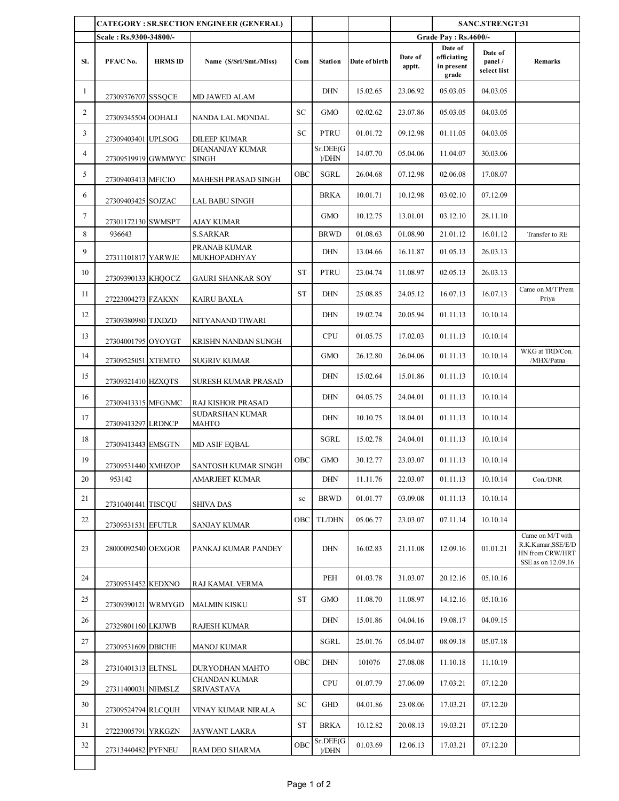|                |                        |                | <b>CATEGORY: SR.SECTION ENGINEER (GENERAL)</b> |           |                   |               |                   | SANC.STRENGT:31                               |                                   |                                                                                 |
|----------------|------------------------|----------------|------------------------------------------------|-----------|-------------------|---------------|-------------------|-----------------------------------------------|-----------------------------------|---------------------------------------------------------------------------------|
|                | Scale: Rs.9300-34800/- |                |                                                |           |                   |               |                   | <b>Grade Pay: Rs.4600/-</b>                   |                                   |                                                                                 |
| SI.            | PFA/C No.              | <b>HRMS ID</b> | Name (S/Sri/Smt./Miss)                         | Com       | <b>Station</b>    | Date of birth | Date of<br>apptt. | Date of<br>officiating<br>in present<br>grade | Date of<br>panel /<br>select list | Remarks                                                                         |
| $\mathbf{1}$   | 27309376707 SSSQCE     |                | MD JAWED ALAM                                  |           | <b>DHN</b>        | 15.02.65      | 23.06.92          | 05.03.05                                      | 04.03.05                          |                                                                                 |
| $\overline{c}$ | 27309345504 OOHALI     |                | NANDA LAL MONDAL                               | SC        | <b>GMO</b>        | 02.02.62      | 23.07.86          | 05.03.05                                      | 04.03.05                          |                                                                                 |
| 3              | 27309403401 UPLSOG     |                | <b>DILEEP KUMAR</b>                            | SC        | PTRU              | 01.01.72      | 09.12.98          | 01.11.05                                      | 04.03.05                          |                                                                                 |
| $\overline{4}$ | 27309519919 GWMWYC     |                | DHANANJAY KUMAR<br>SINGH                       |           | Sr.DEE(G<br>)/DHN | 14.07.70      | 05.04.06          | 11.04.07                                      | 30.03.06                          |                                                                                 |
| 5              | 27309403413 MFICIO     |                | MAHESH PRASAD SINGH                            | OBC       | SGRL              | 26.04.68      | 07.12.98          | 02.06.08                                      | 17.08.07                          |                                                                                 |
| 6              | 27309403425 SOJZAC     |                | LAL BABU SINGH                                 |           | BRKA              | 10.01.71      | 10.12.98          | 03.02.10                                      | 07.12.09                          |                                                                                 |
| 7              | 27301172130 SWMSPT     |                | AJAY KUMAR                                     |           | <b>GMO</b>        | 10.12.75      | 13.01.01          | 03.12.10                                      | 28.11.10                          |                                                                                 |
| 8              | 936643                 |                | <b>S.SARKAR</b>                                |           | <b>BRWD</b>       | 01.08.63      | 01.08.90          | 21.01.12                                      | 16.01.12                          | Transfer to RE                                                                  |
| 9              | 27311101817 YARWJE     |                | PRANAB KUMAR<br><b>MUKHOPADHYAY</b>            |           | <b>DHN</b>        | 13.04.66      | 16.11.87          | 01.05.13                                      | 26.03.13                          |                                                                                 |
| 10             | 27309390133 KHQOCZ     |                | GAURI SHANKAR SOY                              | <b>ST</b> | PTRU              | 23.04.74      | 11.08.97          | 02.05.13                                      | 26.03.13                          |                                                                                 |
| 11             | 27223004273 FZAKXN     |                | KAIRU BAXLA                                    | <b>ST</b> | <b>DHN</b>        | 25.08.85      | 24.05.12          | 16.07.13                                      | 16.07.13                          | Came on M/T Prem<br>Priya                                                       |
| 12             | 27309380980 TJXDZD     |                | NITYANAND TIWARI                               |           | <b>DHN</b>        | 19.02.74      | 20.05.94          | 01.11.13                                      | 10.10.14                          |                                                                                 |
| 13             | 27304001795 OYOYGT     |                | KRISHN NANDAN SUNGH                            |           | <b>CPU</b>        | 01.05.75      | 17.02.03          | 01.11.13                                      | 10.10.14                          |                                                                                 |
| 14             | 27309525051 XTEMTO     |                | SUGRIV KUMAR                                   |           | <b>GMO</b>        | 26.12.80      | 26.04.06          | 01.11.13                                      | 10.10.14                          | WKG at TRD/Con.<br>/MHX/Patna                                                   |
| 15             | 27309321410 HZXQTS     |                | SURESH KUMAR PRASAD                            |           | <b>DHN</b>        | 15.02.64      | 15.01.86          | 01.11.13                                      | 10.10.14                          |                                                                                 |
| 16             | 27309413315 MFGNMC     |                | RAJ KISHOR PRASAD                              |           | <b>DHN</b>        | 04.05.75      | 24.04.01          | 01.11.13                                      | 10.10.14                          |                                                                                 |
| 17             | 27309413297 LRDNCP     |                | SUDARSHAN KUMAR<br>MAHTO                       |           | <b>DHN</b>        | 10.10.75      | 18.04.01          | 01.11.13                                      | 10.10.14                          |                                                                                 |
| 18             | 27309413443 EMSGTN     |                | MD ASIF EQBAL                                  |           | SGRL              | 15.02.78      | 24.04.01          | 01.11.13                                      | 10.10.14                          |                                                                                 |
| 19             | 27309531440 XMHZOP     |                | SANTOSH KUMAR SINGH                            | OBC       | <b>GMO</b>        | 30.12.77      | 23.03.07          | 01.11.13                                      | 10.10.14                          |                                                                                 |
| 20             | 953142                 |                | AMARJEET KUMAR                                 |           | $\rm{DHN}$        | 11.11.76      | 22.03.07          | 01.11.13                                      | 10.10.14                          | Con./DNR                                                                        |
| 21             | 27310401441 TISCQU     |                | SHIVA DAS                                      | sc        | <b>BRWD</b>       | 01.01.77      | 03.09.08          | 01.11.13                                      | 10.10.14                          |                                                                                 |
| 22             | 27309531531 EFUTLR     |                | <b>SANJAY KUMAR</b>                            | OBC       | TL/DHN            | 05.06.77      | 23.03.07          | 07.11.14                                      | 10.10.14                          |                                                                                 |
| 23             | 28000092540 OEXGOR     |                | PANKAJ KUMAR PANDEY                            |           | <b>DHN</b>        | 16.02.83      | 21.11.08          | 12.09.16                                      | 01.01.21                          | Came on M/T with<br>R.K.Kumar, SSE/E/D<br>HN from CRW/HRT<br>SSE as on 12.09.16 |
| 24             | 27309531452 KEDXNO     |                | RAJ KAMAL VERMA                                |           | PEH               | 01.03.78      | 31.03.07          | 20.12.16                                      | 05.10.16                          |                                                                                 |
| 25             | 27309390121 WRMYGD     |                | <b>MALMIN KISKU</b>                            | <b>ST</b> | GMO               | 11.08.70      | 11.08.97          | 14.12.16                                      | 05.10.16                          |                                                                                 |
| 26             | 27329801160 LKJJWB     |                | RAJESH KUMAR                                   |           | <b>DHN</b>        | 15.01.86      | 04.04.16          | 19.08.17                                      | 04.09.15                          |                                                                                 |
| 27             | 27309531609 DBICHE     |                | MANOJ KUMAR                                    |           | SGRL              | 25.01.76      | 05.04.07          | 08.09.18                                      | 05.07.18                          |                                                                                 |
| 28             | 27310401313 ELTNSL     |                | DURYODHAN MAHTO                                | OBC       | <b>DHN</b>        | 101076        | 27.08.08          | 11.10.18                                      | 11.10.19                          |                                                                                 |
| 29             | 27311400031 NHMSLZ     |                | CHANDAN KUMAR<br><b>SRIVASTAVA</b>             |           | <b>CPU</b>        | 01.07.79      | 27.06.09          | 17.03.21                                      | 07.12.20                          |                                                                                 |
| 30             | 27309524794 RLCQUH     |                | VINAY KUMAR NIRALA                             | SC        | GHD               | 04.01.86      | 23.08.06          | 17.03.21                                      | 07.12.20                          |                                                                                 |
| 31             | 27223005791 YRKGZN     |                | JAYWANT LAKRA                                  | <b>ST</b> | BRKA              | 10.12.82      | 20.08.13          | 19.03.21                                      | 07.12.20                          |                                                                                 |
| 32             | 27313440482 PYFNEU     |                | RAM DEO SHARMA                                 | OBC       | Sr.DEE(G<br>)/DHN | 01.03.69      | 12.06.13          | 17.03.21                                      | 07.12.20                          |                                                                                 |
|                |                        |                |                                                |           |                   |               |                   |                                               |                                   |                                                                                 |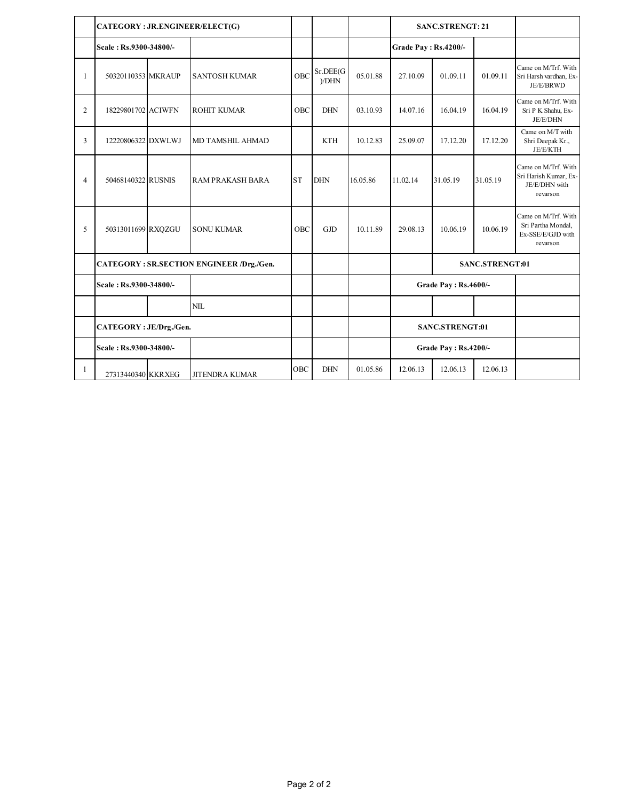|                | CATEGORY: JR.ENGINEER/ELECT(G) |  |                                          |           |                   |          |                      | <b>SANC.STRENGT: 21</b>     |                 |                                                                            |
|----------------|--------------------------------|--|------------------------------------------|-----------|-------------------|----------|----------------------|-----------------------------|-----------------|----------------------------------------------------------------------------|
|                | Scale: Rs.9300-34800/-         |  |                                          |           |                   |          | Grade Pay: Rs.4200/- |                             |                 |                                                                            |
| $\mathbf{1}$   | 50320110353 MKRAUP             |  | <b>SANTOSH KUMAR</b>                     | OBC       | Sr.DEE(G)<br>VDHN | 05.01.88 | 27.10.09             | 01.09.11                    | 01.09.11        | Came on M/Trf. With<br>Sri Harsh vardhan, Ex-<br>JE/E/BRWD                 |
| 2              | 18229801702 ACIWFN             |  | <b>ROHIT KUMAR</b>                       | OBC       | <b>DHN</b>        | 03.10.93 | 14.07.16             | 16.04.19                    | 16.04.19        | Came on M/Trf. With<br>Sri P K Shahu, Ex-<br>JE/E/DHN                      |
| $\overline{3}$ | 12220806322 DXWLWJ             |  | MD TAMSHIL AHMAD                         |           | <b>KTH</b>        | 10.12.83 | 25.09.07             | 17.12.20                    | 17.12.20        | Came on M/T with<br>Shri Deepak Kr.,<br>JE/E/KTH                           |
| $\overline{4}$ | 50468140322 RUSNIS             |  | RAM PRAKASH BARA                         | <b>ST</b> | <b>DHN</b>        | 16.05.86 | 11.02.14             | 31.05.19                    | 31.05.19        | Came on M/Trf. With<br>Sri Harish Kumar, Ex-<br>JE/E/DHN with<br>revarson  |
| 5              | 50313011699 RXQZGU             |  | <b>SONU KUMAR</b>                        | OBC       | <b>GJD</b>        | 10.11.89 | 29.08.13             | 10.06.19                    | 10.06.19        | Came on M/Trf. With<br>Sri Partha Mondal,<br>Ex-SSE/E/GJD with<br>revarson |
|                |                                |  | CATEGORY: SR.SECTION ENGINEER /Drg./Gen. |           |                   |          |                      |                             | SANC.STRENGT:01 |                                                                            |
|                | Scale: Rs.9300-34800/-         |  |                                          |           |                   |          |                      | <b>Grade Pay: Rs.4600/-</b> |                 |                                                                            |
|                |                                |  | <b>NIL</b>                               |           |                   |          |                      |                             |                 |                                                                            |
|                | CATEGORY: JE/Drg./Gen.         |  |                                          |           |                   |          |                      | <b>SANC.STRENGT:01</b>      |                 |                                                                            |
|                | Scale: Rs.9300-34800/-         |  |                                          |           |                   |          |                      | <b>Grade Pay: Rs.4200/-</b> |                 |                                                                            |
| 1              | 27313440340 KKRXEG             |  | <b>JITENDRA KUMAR</b>                    | OBC       | <b>DHN</b>        | 01.05.86 | 12.06.13             | 12.06.13                    | 12.06.13        |                                                                            |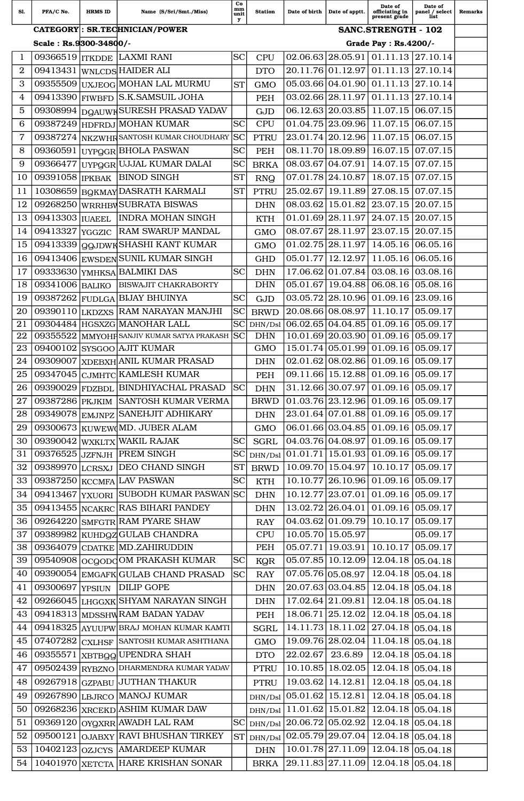| S1.              | PFA/C No.              | <b>HRMS ID</b> | Name (S/Sri/Smt./Miss)                                               | Co<br>mm<br>unit<br>у | <b>Station</b>            | Date of birth        | Date of apptt.             | Date of<br>officiating in<br>present grade                          | Date of<br>panel / select<br>list | <b>Remarks</b> |
|------------------|------------------------|----------------|----------------------------------------------------------------------|-----------------------|---------------------------|----------------------|----------------------------|---------------------------------------------------------------------|-----------------------------------|----------------|
|                  |                        |                | CATEGORY: SR.TECHNICIAN/POWER                                        |                       |                           |                      |                            | <b>SANC.STRENGTH - 102</b>                                          |                                   |                |
|                  | Scale: Rs.9300-34800/- |                |                                                                      |                       |                           |                      |                            | Grade Pay : Rs.4200/-                                               |                                   |                |
| 1                |                        |                | 09366519  ITKDDE LAXMI RANI                                          | <b>SC</b>             | <b>CPU</b>                |                      | $02.06.63$   28.05.91      | 01.11.13 27.10.14                                                   |                                   |                |
| $\boldsymbol{2}$ | 09413431               |                | <b>WNLCDS HAIDER ALI</b>                                             |                       | <b>DTO</b>                | 20.11.76             | 01.12.97                   | 01.11.13                                                            | 27.10.14                          |                |
| 3                | 09355509               |                | UXJEOG MOHAN LAL MURMU                                               | <b>ST</b>             | <b>GMO</b>                |                      | 05.03.66 04.01.90          | 01.11.13                                                            | 27.10.14                          |                |
| 4                | 09413390               | <b>FIWBFD</b>  | S.K.SAMSUIL JOHA                                                     |                       | <b>PEH</b>                | 03.02.66             | 28.11.97                   | 01.11.13                                                            | 27.10.14                          |                |
| 5                | 09308994               |                | DQAUWHSURESH PRASAD YADAV                                            |                       | <b>GJD</b>                |                      | 06.12.63 20.03.85          | 11.07.15                                                            | 06.07.15                          |                |
| 6                | 09387249               | <b>HDFRDJ</b>  | <b>MOHAN KUMAR</b>                                                   | <b>SC</b>             | <b>CPU</b>                | 01.04.75             | 23.09.96                   | 11.07.15                                                            | 06.07.15                          |                |
| 7                | 09387274               |                | NKZWHRSANTOSH KUMAR CHOUDHARY                                        | <b>SC</b>             | <b>PTRU</b>               |                      | 23.01.74 20.12.96          | 11.07.15                                                            | 06.07.15                          |                |
| 8                | 09360591               |                | UYPOGR BHOLA PASWAN                                                  | <b>SC</b>             | PEH                       | 08.11.70             | 18.09.89                   | 16.07.15                                                            | 07.07.15                          |                |
| 9                | 09366477               | <b>UYPQGR</b>  | UJJAL KUMAR DALAI                                                    | SC                    | <b>BRKA</b>               | 08.03.67             | 04.07.91                   | 14.07.15                                                            | 07.07.15                          |                |
| 10               | 09391058               | <b>IPKBAK</b>  | <b>BINOD SINGH</b>                                                   | <b>ST</b>             | <b>RNQ</b>                |                      | 07.01.78 24.10.87          | 18.07.15                                                            | 07.07.15                          |                |
| 11               | 10308659               |                | <b>BOKMAY DASRATH KARMALI</b>                                        | <b>ST</b>             | <b>PTRU</b>               | 25.02.67             | 19.11.89                   | 27.08.15                                                            | 07.07.15                          |                |
| 12               | 09268250               | WRRHBV         | <b>SUBRATA BISWAS</b>                                                |                       | <b>DHN</b>                | 08.03.62             | 15.01.82                   | 23.07.15                                                            | 20.07.15                          |                |
| 13               | 09413303   IUAEEL      |                | <b>INDRA MOHAN SINGH</b>                                             |                       | <b>KTH</b>                |                      | $01.01.69$   28.11.97      | 24.07.15                                                            | 20.07.15                          |                |
| 14               | 09413327               | <b>YGGZIC</b>  | RAM SWARUP MANDAL                                                    |                       | <b>GMO</b>                | 08.07.67             | 28.11.97                   | 23.07.15                                                            | 20.07.15                          |                |
| 15               | 09413339               | <b>QQJDWK</b>  | <b>SHASHI KANT KUMAR</b>                                             |                       | <b>GMO</b>                |                      | 01.02.75 28.11.97          | 14.05.16                                                            | 06.05.16                          |                |
| 16               | 09413406               |                | <b>EWSDEN SUNIL KUMAR SINGH</b>                                      |                       | <b>GHD</b>                | 05.01.77             | 12.12.97                   | 11.05.16                                                            | 06.05.16                          |                |
| 17               | 09333630               |                | YMHKSA BALMIKI DAS                                                   | <b>SC</b>             | <b>DHN</b>                | 17.06.62             | 01.07.84                   | 03.08.16                                                            | 03.08.16                          |                |
| 18               | 09341006               | <b>BALIKO</b>  | <b>BISWAJIT CHAKRABORTY</b>                                          |                       | <b>DHN</b>                | 05.01.67             | 19.04.88                   | 06.08.16                                                            | 05.08.16                          |                |
| 19               | 09387262               | FUDLGA         | <b>BIJAY BHUINYA</b>                                                 | <b>SC</b>             | <b>GJD</b>                | 03.05.72             | 28.10.96                   | 01.09.16                                                            | 23.09.16                          |                |
| 20               | 09390110               | <b>LKDZXS</b>  | RAM NARAYAN MANJHI                                                   | <b>SC</b>             | <b>BRWD</b>               |                      | 20.08.66 08.08.97          | 11.10.17                                                            | 05.09.17                          |                |
| 21               | 09304484               |                | <b>HGSXZG MANOHAR LALL</b>                                           | <b>SC</b>             | DHN/Dsl                   | 06.02.65             | 04.04.85                   | 01.09.16                                                            | 05.09.17                          |                |
| 22<br>23         | 09355522<br>09400102   |                | MMYOHF SANJIV KUMAR SATYA PRAKASH<br>SYSGOO AJIT KUMAR               | <b>SC</b>             | <b>DHN</b><br><b>GMO</b>  | 10.01.69<br>15.01.74 | 20.03.90 <br>05.01.99      | 01.09.16<br>01.09.16                                                | 05.09.17<br>05.09.17              |                |
| 24               | 09309007               |                | <b>XDEBXH</b> ANIL KUMAR PRASAD                                      |                       |                           | 02.01.62             | 08.02.86                   | 01.09.16                                                            | 05.09.17                          |                |
| 25               | 09347045               |                | CJMHTC KAMLESH KUMAR                                                 |                       | <b>DHN</b>                | 09.11.66             | 15.12.88                   | 01.09.16                                                            | 05.09.17                          |                |
|                  |                        |                |                                                                      |                       | PEH                       |                      |                            | 31.12.66 30.07.97 01.09.16 05.09.17                                 |                                   |                |
| 26<br>27         | 09387286 PKJKIM        |                | 09390029 FDZBDL BINDHIYACHAL PRASAD SC<br><b>SANTOSH KUMAR VERMA</b> |                       | <b>DHN</b><br><b>BRWD</b> |                      |                            | $01.03.76$ 23.12.96 01.09.16 05.09.17                               |                                   |                |
| 28               |                        |                | 09349078 EMJNPZ SANEHJIT ADHIKARY                                    |                       |                           |                      |                            | 23.01.64 07.01.88 01.09.16 05.09.17                                 |                                   |                |
| 29               |                        |                | 09300673 KUWEW MD. JUBER ALAM                                        |                       | <b>DHN</b><br><b>GMO</b>  |                      |                            | 06.01.66 03.04.85 01.09.16 05.09.17                                 |                                   |                |
| 30               |                        |                | 09390042 WXKLTX WAKIL RAJAK                                          | SC                    | <b>SGRL</b>               |                      |                            | 04.03.76 04.08.97 01.09.16 05.09.17                                 |                                   |                |
| 31               |                        |                | 09376525 JZFNJH PREM SINGH                                           | SC                    |                           |                      |                            | $\vert$ 01.01.71   15.01.93   01.09.16   05.09.17                   |                                   |                |
| 32               | 09389970 LCRSXJ        |                | <b>DEO CHAND SINGH</b>                                               | <b>ST</b>             | DHN/Dsl<br><b>BRWD</b>    |                      | 10.09.70 15.04.97 10.10.17 |                                                                     | 05.09.17                          |                |
| 33               |                        |                | 09387250 KCCMFA LAV PASWAN                                           | <b>SC</b>             | <b>KTH</b>                |                      |                            | 10.10.77 26.10.96 01.09.16 05.09.17                                 |                                   |                |
| 34               |                        |                | 09413467 YXUORI SUBODH KUMAR PASWAN SC                               |                       | <b>DHN</b>                |                      |                            | 10.12.77 23.07.01 01.09.16 05.09.17                                 |                                   |                |
| 35               | 09413455               |                | NCAKRC RAS BIHARI PANDEY                                             |                       |                           |                      |                            | 13.02.72 26.04.01 01.09.16                                          | 05.09.17                          |                |
| 36               | 09264220               |                | <b>SMFGTR RAM PYARE SHAW</b>                                         |                       | <b>DHN</b>                |                      |                            | $04.03.62 \mid 01.09.79 \mid 10.10.17 \mid 05.09.17$                |                                   |                |
| 37               |                        |                | 09389982 KUHDQZGULAB CHANDRA                                         |                       | <b>RAY</b><br><b>CPU</b>  |                      | 10.05.70 15.05.97          |                                                                     | 05.09.17                          |                |
| 38               |                        |                | 09364079 CDATKE MD.ZAHIRUDDIN                                        |                       | PEH                       |                      |                            | 05.07.71   19.03.91   10.10.17                                      | 05.09.17                          |                |
| 39               |                        |                | 09540908 OCQODOM PRAKASH KUMAR                                       | <b>SC</b>             |                           |                      |                            | 05.07.85 10.12.09 12.04.18 05.04.18                                 |                                   |                |
| 40               |                        |                | 09390054 EMGAFK GULAB CHAND PRASAD                                   | <b>SC</b>             | <b>KQR</b><br><b>RAY</b>  |                      |                            | $07.05.76 \mid 05.08.97 \mid 12.04.18 \mid 05.04.18$                |                                   |                |
| 41               |                        |                | 09300697 YPSIUN DILIP GOPE                                           |                       | <b>DHN</b>                |                      |                            | 20.07.63 03.04.85 12.04.18 05.04.18                                 |                                   |                |
| 42               |                        |                | 09266045 LHGGXK SHYAM NARAYAN SINGH                                  |                       | <b>DHN</b>                |                      | 17.02.64 21.09.81          | $12.04.18$ 05.04.18                                                 |                                   |                |
| 43               |                        |                | 09418313 MDSSHWRAM BADAN YADAV                                       |                       |                           |                      |                            | 18.06.71 25.12.02 12.04.18 05.04.18                                 |                                   |                |
| 44               |                        |                |                                                                      |                       | PEH                       |                      |                            | 14.11.73 18.11.02 27.04.18 05.04.18                                 |                                   |                |
| 45               |                        |                | 09418325 AYUUPW BRAJ MOHAN KUMAR KAMTI                               |                       | <b>SGRL</b>               |                      |                            | 19.09.76 28.02.04 11.04.18 05.04.18                                 |                                   |                |
| 46               |                        |                | 07407282 CXLHSF SANTOSH KUMAR ASHTHANA                               |                       | <b>GMO</b>                |                      | $22.02.67$ 23.6.89         | 12.04.18 05.04.18                                                   |                                   |                |
|                  |                        |                | 09355571 XBTBQQ UPENDRA SHAH                                         |                       | <b>DTO</b>                |                      |                            | 10.10.85   18.02.05   12.04.18   05.04.18                           |                                   |                |
| 47               |                        |                | 09502439 RYBZNO DHARMENDRA KUMAR YADAV                               |                       | <b>PTRU</b>               |                      |                            |                                                                     |                                   |                |
| 48               | 09267918               |                | <b>GZPABU JUTHAN THAKUR</b>                                          |                       | <b>PTRU</b>               |                      | $19.03.62$   14.12.81      | 12.04.18 05.04.18                                                   |                                   |                |
| 49               |                        |                | 09267890 LBJRCO MANOJ KUMAR                                          |                       | DHN/Dsl                   |                      |                            | $\vert 05.01.62 \vert 15.12.81 \vert 12.04.18 \vert 05.04.18 \vert$ |                                   |                |
| 50               |                        |                | 09268236 XRCEKD ASHIM KUMAR DAW                                      |                       | DHN/Dsl                   |                      | $11.01.62$   15.01.82      | $12.04.18$ 05.04.18                                                 |                                   |                |
| 51               |                        |                | 09369120 OYQXRR AWADH LAL RAM                                        | <b>SC</b>             | DHN/Dsl                   |                      | 20.06.72 05.02.92          | 12.04.18 05.04.18                                                   |                                   |                |
| 52               |                        |                | 09500121 OJABXY RAVI BHUSHAN TIRKEY                                  |                       | ST DHN/Dsl                |                      |                            | $02.05.79$ 29.07.04 12.04.18 05.04.18                               |                                   |                |
| 53               |                        |                | 10402123 OZJCYS AMARDEEP KUMAR                                       |                       | <b>DHN</b>                |                      |                            | 10.01.78 27.11.09 12.04.18 05.04.18                                 |                                   |                |
| 54               |                        |                | 10401970 XETCTA HARE KRISHAN SONAR                                   |                       | <b>BRKA</b>               |                      |                            | 29.11.83 27.11.09 12.04.18 05.04.18                                 |                                   |                |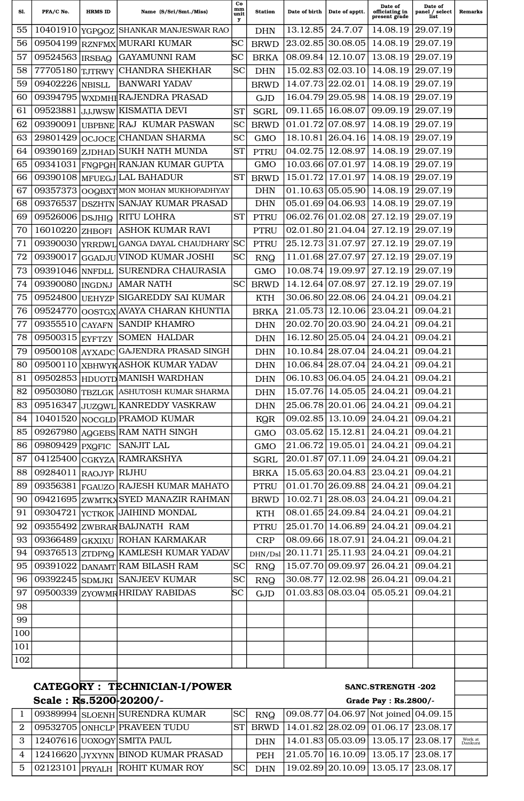| Sl.            | PFA/C No.             | <b>HRMS ID</b> | Name (S/Sri/Smt./Miss)                                                                                           | Co<br>mm<br>unit<br>у | <b>Station</b> | Date of birth | Date of apptt.                              | Date of<br>officiating in<br>present grade                                                              | Date of<br>panel / select<br>list | <b>Remarks</b>     |
|----------------|-----------------------|----------------|------------------------------------------------------------------------------------------------------------------|-----------------------|----------------|---------------|---------------------------------------------|---------------------------------------------------------------------------------------------------------|-----------------------------------|--------------------|
| 55             |                       |                | 10401910 YGPOOZ SHANKAR MANJESWAR RAO                                                                            |                       | <b>DHN</b>     | 13.12.85      | 24.7.07                                     | 14.08.19                                                                                                | 29.07.19                          |                    |
| 56             | 09504199              | <b>RZNFMX</b>  | MURARI KUMAR                                                                                                     | SС                    | <b>BRWD</b>    | 23.02.85      | 30.08.05                                    | 14.08.19                                                                                                | 29.07.19                          |                    |
| 57             | 09524563   IRSBAQ     |                | <b>GAYAMUNNI RAM</b>                                                                                             | $_{\rm SC}$           | <b>BRKA</b>    | 08.09.84      | 12.10.07                                    | 13.08.19                                                                                                | 29.07.19                          |                    |
| 58             | 77705180 TJTRWY       |                | <b>CHANDRA SHEKHAR</b>                                                                                           | <b>SC</b>             | <b>DHN</b>     | 15.02.83      | 02.03.10                                    | 14.08.19                                                                                                | 29.07.19                          |                    |
| 59             | 09402226              | <b>NBISLL</b>  | <b>BANWARI YADAV</b>                                                                                             |                       | <b>BRWD</b>    | 14.07.73      | 22.02.01                                    | 14.08.19                                                                                                | 29.07.19                          |                    |
| 60             | 09394795              |                | WXDMHIRAJENDRA PRASAD                                                                                            |                       | <b>GJD</b>     |               | 16.04.79 29.05.98                           | 14.08.19                                                                                                | 29.07.19                          |                    |
| 61             | 09523881              |                | JJJWSW KISMATIA DEVI                                                                                             | <b>ST</b>             | <b>SGRL</b>    | 09.11.65      | 16.08.07                                    | 09.09.19                                                                                                | 29.07.19                          |                    |
| 62             | 09390091              | <b>UBPBNE</b>  | <b>RAJ KUMAR PASWAN</b>                                                                                          | <b>SC</b>             | <b>BRWD</b>    | 01.01.72      | 07.08.97                                    | 14.08.19                                                                                                | 29.07.19                          |                    |
| 63             | 29801429              |                | OCJOCE CHANDAN SHARMA                                                                                            | <b>SC</b>             | <b>GMO</b>     | 18.10.81      | 26.04.16                                    | 14.08.19                                                                                                | 29.07.19                          |                    |
| 64             |                       |                | 09390169 ZJDHAD SUKH NATH MUNDA                                                                                  | <b>ST</b>             | <b>PTRU</b>    | 04.02.75      | 12.08.97                                    | 14.08.19                                                                                                | 29.07.19                          |                    |
| 65             | 09341031              |                | <b>FNOPOH RANJAN KUMAR GUPTA</b>                                                                                 |                       | <b>GMO</b>     |               | 10.03.66 07.01.97                           | 14.08.19                                                                                                | 29.07.19                          |                    |
| 66             | 09390108              |                | MFUEGJ LAL BAHADUR                                                                                               | <b>ST</b>             | <b>BRWD</b>    | 15.01.72      | 17.01.97                                    | 14.08.19                                                                                                | 29.07.19                          |                    |
| 67             | 09357373              |                | OOGBXT MON MOHAN MUKHOPADHYAY                                                                                    |                       | <b>DHN</b>     |               | $01.10.63 \mid 05.05.90$                    | 14.08.19                                                                                                | 29.07.19                          |                    |
| 68             | 09376537              |                | <b>DSZHTN SANJAY KUMAR PRASAD</b>                                                                                |                       | <b>DHN</b>     | 05.01.69      | 04.06.93                                    | 14.08.19                                                                                                | 29.07.19                          |                    |
| 69             | 09526006 DSJHIQ       |                | <b>RITU LOHRA</b>                                                                                                | <b>ST</b>             | <b>PTRU</b>    |               | 06.02.76 01.02.08                           | 27.12.19                                                                                                | 29.07.19                          |                    |
| 70             | 16010220 ZHBOFI       |                | <b>ASHOK KUMAR RAVI</b>                                                                                          |                       | <b>PTRU</b>    |               | 02.01.80 21.04.04                           | 27.12.19                                                                                                | 29.07.19                          |                    |
| 71             | 09390030              | <b>YRRDWL</b>  | <b>GANGA DAYAL CHAUDHARY</b>                                                                                     | <b>SC</b>             | <b>PTRU</b>    |               | 25.12.73 31.07.97                           | 27.12.19                                                                                                | 29.07.19                          |                    |
| 72             | 09390017              |                | <b>GGADJU VINOD KUMAR JOSHI</b>                                                                                  | <b>SC</b>             | <b>RNQ</b>     |               | 11.01.68 27.07.97                           | 27.12.19                                                                                                | 29.07.19                          |                    |
| 73             | 09391046 NNFDLL       |                | <b>SURENDRA CHAURASIA</b>                                                                                        |                       | <b>GMO</b>     | 10.08.74      | 19.09.97                                    | 27.12.19                                                                                                | 29.07.19                          |                    |
| 74             | 09390080  INGDNJ      |                | <b>AMAR NATH</b>                                                                                                 | <b>SC</b>             | <b>BRWD</b>    |               | 14.12.64 07.08.97                           | 27.12.19                                                                                                | 29.07.19                          |                    |
| 75             | 09524800              | <b>UEHYZP</b>  | <b>SIGAREDDY SAI KUMAR</b>                                                                                       |                       | <b>KTH</b>     |               | 30.06.80 22.08.06                           | 24.04.21                                                                                                | 09.04.21                          |                    |
| 76             | 09524770              |                | OOSTGX AVAYA CHARAN KHUNTIA                                                                                      |                       | <b>BRKA</b>    | 21.05.73      | 12.10.06                                    | 23.04.21                                                                                                | 09.04.21                          |                    |
| 77             | 09355510              | <b>CAYAFN</b>  | <b>SANDIP KHAMRO</b>                                                                                             |                       | <b>DHN</b>     |               | 20.02.70 20.03.90                           | 24.04.21                                                                                                | 09.04.21                          |                    |
| 78             | 09500315              | <b>EYFTZY</b>  | <b>SOMEN HALDAR</b>                                                                                              |                       | <b>DHN</b>     | 16.12.80      | 25.05.04                                    | 24.04.21                                                                                                | 09.04.21                          |                    |
| 79             | 09500108              | <b>AYXADC</b>  | <b>GAJENDRA PRASAD SINGH</b>                                                                                     |                       | <b>DHN</b>     |               | 10.10.84 28.07.04                           | 24.04.21                                                                                                | 09.04.21                          |                    |
| 80             | 09500110              |                | XBHWYKASHOK KUMAR YADAV                                                                                          |                       | <b>DHN</b>     |               | 10.06.84 28.07.04                           | 24.04.21                                                                                                | 09.04.21                          |                    |
| 81             |                       |                | 09502853 HDUOTD MANISH WARDHAN                                                                                   |                       | <b>DHN</b>     |               | 06.10.83 06.04.05                           | 24.04.21                                                                                                | 09.04.21                          |                    |
| 82             |                       |                | 09503080 TBZLGK ASHUTOSH KUMAR SHARMA                                                                            |                       | <b>DHN</b>     |               |                                             | 15.07.76 14.05.05 24.04.21                                                                              | 09.04.21                          |                    |
| 83             |                       |                | 09516347 JUZQWL KANREDDY VASKRAW                                                                                 |                       | <b>DHN</b>     |               |                                             | 25.06.78 20.01.06 24.04.21                                                                              | 09.04.21                          |                    |
| 84             |                       |                | 10401520 NOCGLD PRAMOD KUMAR                                                                                     |                       | KQR            |               | $\overline{09.02.85}$   13.10.09   24.04.21 |                                                                                                         | 09.04.21                          |                    |
| 85             |                       |                | 09267980 AGGEBS RAM NATH SINGH                                                                                   |                       | <b>GMO</b>     |               |                                             | $\overline{03.05.62}$   15.12.81   24.04.21                                                             | 09.04.21                          |                    |
| 86             | 09809429 PXQFIC       |                | <b>SANJIT LAL</b>                                                                                                |                       | <b>GMO</b>     |               | $21.06.72$   19.05.01   24.04.21            |                                                                                                         | 09.04.21                          |                    |
| 87             |                       |                | 04125400 CGKYZA RAMRAKSHYA                                                                                       |                       | <b>SGRL</b>    |               | 20.01.87 07.11.09 24.04.21                  |                                                                                                         | 09.04.21                          |                    |
| 88             | 09284011 RAOJYP RIJHU |                |                                                                                                                  |                       | <b>BRKA</b>    |               |                                             | 15.05.63 20.04.83 23.04.21                                                                              | 09.04.21                          |                    |
| 89             |                       |                | 09356381 FGAUZO RAJESH KUMAR MAHATO                                                                              |                       | <b>PTRU</b>    |               |                                             | 01.01.70 26.09.88 24.04.21                                                                              | 09.04.21                          |                    |
| 90             |                       |                | 09421695 ZWMTKX SYED MANAZIR RAHMAN                                                                              |                       | <b>BRWD</b>    |               | 10.02.71 28.08.03 24.04.21                  |                                                                                                         | 09.04.21                          |                    |
| 91             |                       |                | 09304721 YCTKOK JAIHIND MONDAL                                                                                   |                       | <b>KTH</b>     |               | 08.01.65 24.09.84 24.04.21                  |                                                                                                         | 09.04.21                          |                    |
| 92             |                       |                | 09355492 ZWBRAR BAIJNATH RAM                                                                                     |                       | <b>PTRU</b>    |               | 25.01.70 14.06.89 24.04.21                  |                                                                                                         | 09.04.21                          |                    |
| 93             |                       |                | 09366489 GKXIXU ROHAN KARMAKAR                                                                                   |                       | <b>CRP</b>     |               |                                             | 08.09.66 18.07.91 24.04.21                                                                              | 09.04.21                          |                    |
| 94             |                       |                | 09376513 ZTDPNQ KAMLESH KUMAR YADAV                                                                              |                       | DHN/Dsl        |               | 20.11.71 25.11.93 24.04.21                  |                                                                                                         | 09.04.21                          |                    |
| 95             |                       |                | 09391022 DANAMT RAM BILASH RAM                                                                                   | <b>SC</b>             | <b>RNQ</b>     |               | 15.07.70 09.09.97 26.04.21                  |                                                                                                         | 09.04.21                          |                    |
| 96             |                       |                | 09392245 SDMJKI SANJEEV KUMAR                                                                                    | <b>SC</b>             | <b>RNQ</b>     |               |                                             | 30.08.77 12.02.98 26.04.21                                                                              | 09.04.21                          |                    |
| 97             |                       |                | 09500339 ZYOWMR HRIDAY RABIDAS                                                                                   | SC                    | <b>GJD</b>     |               | $01.03.83 \mid 08.03.04 \mid 05.05.21$      |                                                                                                         | 09.04.21                          |                    |
| 98             |                       |                |                                                                                                                  |                       |                |               |                                             |                                                                                                         |                                   |                    |
| 99             |                       |                |                                                                                                                  |                       |                |               |                                             |                                                                                                         |                                   |                    |
| 100            |                       |                |                                                                                                                  |                       |                |               |                                             |                                                                                                         |                                   |                    |
| 101            |                       |                |                                                                                                                  |                       |                |               |                                             |                                                                                                         |                                   |                    |
| 102            |                       |                |                                                                                                                  |                       |                |               |                                             |                                                                                                         |                                   |                    |
|                |                       |                |                                                                                                                  |                       |                |               |                                             |                                                                                                         |                                   |                    |
|                |                       |                | CATEGORY : TECHNICIAN-I/POWER                                                                                    |                       |                |               |                                             | <b>SANC.STRENGTH-202</b>                                                                                |                                   |                    |
|                |                       |                | Scale: $R\vert s.5200\vert 20200$ /-                                                                             |                       |                |               |                                             | Grade Pay : Rs.2800/-                                                                                   |                                   |                    |
| 1              |                       |                | 09389994 SLOENH SURENDRA KUMAR                                                                                   | <b>SC</b>             | <b>RNQ</b>     |               |                                             | $09.08.77$ 04.06.97 Not joined 04.09.15                                                                 |                                   |                    |
| $\overline{2}$ |                       |                | 09532705 ONHCLP PRAVEEN TUDU                                                                                     | <b>ST</b>             | <b>BRWD</b>    |               |                                             | $14.01.82$ 28.02.09 01.06.17 23.08.17                                                                   |                                   |                    |
| 3              |                       |                | 12407616 UOXOQY SMITA PAUL                                                                                       |                       | <b>DHN</b>     |               |                                             | 14.01.83 05.03.09 13.05.17 23.08.17                                                                     |                                   | Work at<br>Dankuni |
| $\overline{4}$ |                       |                | 12416620 JYXYNN BINOD KUMAR PRASAD                                                                               |                       | PEH            |               |                                             | $21.05.70$ 16.10.09 13.05.17 23.08.17                                                                   |                                   |                    |
|                |                       |                | $\begin{array}{ c c c c c c } \hline 5 & 02123101 & \text{PRYALH} & \text{ROHIT KUMAR ROY} \\\hline \end{array}$ |                       |                |               |                                             | $\left  \textrm{SC} \right $ DHN $\left  \textrm{19.02.89} \right  \textrm{20.10.09}$ 13.05.17 23.08.17 |                                   |                    |
|                |                       |                |                                                                                                                  |                       |                |               |                                             |                                                                                                         |                                   |                    |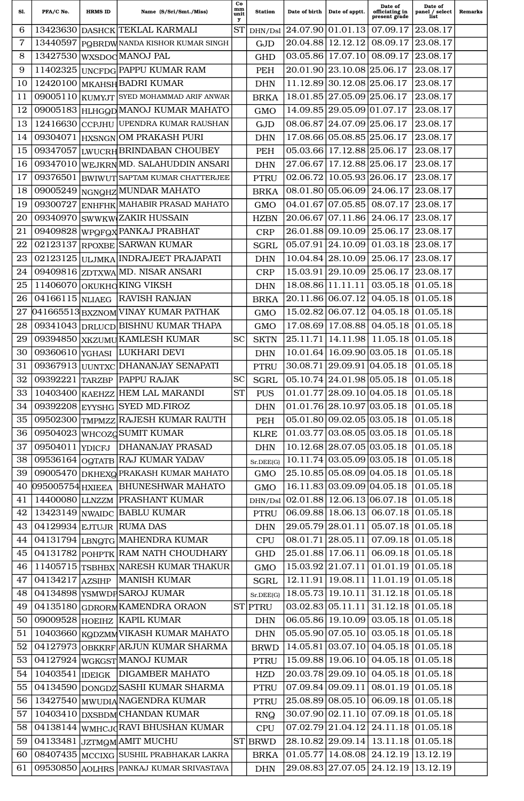| Sl.              | PFA/C No.        | <b>HRMS ID</b> | Name (S/Sri/Smt./Miss)                                                   | Сo<br>mm<br>unit<br>у | <b>Station</b>            | Date of birth     | Date of apptt.                         | Date of<br>officiating in<br>present grade                                                  | Date of<br>panel / select<br>list | Remarks |
|------------------|------------------|----------------|--------------------------------------------------------------------------|-----------------------|---------------------------|-------------------|----------------------------------------|---------------------------------------------------------------------------------------------|-----------------------------------|---------|
| 6                | 13423630         |                | DASHCK TEKLAL KARMALI                                                    | <b>ST</b>             | DHN/Dsl                   | 24.07.90          | $\vert 01.01.13 \vert$                 | 07.09.17                                                                                    | 23.08.17                          |         |
| 7                | 13440597         |                | POBRDW NANDA KISHOR KUMAR SINGH                                          |                       | GJD                       | 20.04.88          | 12.12.12                               | 08.09.17                                                                                    | 23.08.17                          |         |
| 8                | 13427530         |                | WXSDOC MANOJ PAL                                                         |                       | <b>GHD</b>                |                   | $03.05.86$   17.07.10                  | 08.09.17                                                                                    | 23.08.17                          |         |
| 9                | 11402325         |                | UNCFDG PAPPU KUMAR RAM                                                   |                       | <b>PEH</b>                |                   | 20.01.90 23.10.08 25.06.17             |                                                                                             | 23.08.17                          |         |
| 10               | 12420100         |                | <b>MKAHSH BADRI KUMAR</b>                                                |                       | <b>DHN</b>                |                   | 11.12.89 30.12.08 25.06.17             |                                                                                             | 23.08.17                          |         |
| 11               | 09005110         | <b>KUMYJT</b>  | SYED MOHAMMAD ARIF ANWAR                                                 |                       | <b>BRKA</b>               |                   | 18.01.85 27.05.09 25.06.17             |                                                                                             | 23.08.17                          |         |
| 12               | 09005183         |                | HLHGQD MANOJ KUMAR MAHATO                                                |                       | <b>GMO</b>                |                   | 14.09.85 29.05.09 01.07.17             |                                                                                             | 23.08.17                          |         |
| 13               | 12416630         | <b>CCPJHU</b>  | UPENDRA KUMAR RAUSHAN                                                    |                       | GJD                       | 08.06.87          | 24.07.09 25.06.17                      |                                                                                             | 23.08.17                          |         |
| 14               | 09304071         | <b>HXSNGN</b>  | OM PRAKASH PURI                                                          |                       | <b>DHN</b>                | 17.08.66          | 05.08.85   25.06.17                    |                                                                                             | 23.08.17                          |         |
| 15               | 09347057         |                | LWUCRH BRINDABAN CHOUBEY                                                 |                       | <b>PEH</b>                |                   | 05.03.66 17.12.88 25.06.17             |                                                                                             | 23.08.17                          |         |
| 16               | 09347010         |                | WEJKRNMD. SALAHUDDIN ANSARI                                              |                       | <b>DHN</b>                | 27.06.67          | 17.12.88 25.06.17                      |                                                                                             | 23.08.17                          |         |
| 17               | 09376501         |                | BWIWUT SAPTAM KUMAR CHATTERJEE                                           |                       | <b>PTRU</b>               | 02.06.72          | 10.05.93 26.06.17                      |                                                                                             | 23.08.17                          |         |
| 18               | 09005249         |                | NGNQHZ MUNDAR MAHATO                                                     |                       | <b>BRKA</b>               | 08.01.80          | 05.06.09                               | 24.06.17                                                                                    | 23.08.17                          |         |
| 19               | 09300727         |                | ENHFHK MAHABIR PRASAD MAHATO                                             |                       | <b>GMO</b>                | 04.01.67          | 07.05.85                               | 08.07.17                                                                                    | 23.08.17                          |         |
| 20               | 09340970         |                | SWWKW ZAKIR HUSSAIN                                                      |                       | <b>HZBN</b>               | 20.06.67          | 07.11.86                               | 24.06.17                                                                                    | 23.08.17                          |         |
| 21               | 09409828         |                | WPOFOX PANKAJ PRABHAT                                                    |                       | <b>CRP</b>                | 26.01.88          | 09.10.09                               | 25.06.17                                                                                    | 23.08.17                          |         |
| 22               | 02123137         | <b>RPOXBE</b>  | SARWAN KUMAR                                                             |                       | <b>SGRL</b>               | 05.07.91          | 24.10.09                               | 01.03.18                                                                                    | 23.08.17                          |         |
| 23               | 02123125         |                | ULJMKA INDRAJEET PRAJAPATI                                               |                       | <b>DHN</b>                |                   | $10.04.84$   28.10.09                  | 25.06.17                                                                                    | 23.08.17                          |         |
| 24               | 09409816         |                | ZDTXWA MD. NISAR ANSARI                                                  |                       | <b>CRP</b>                | 15.03.91          | 29.10.09                               | 25.06.17                                                                                    | 23.08.17                          |         |
| 25               | 11406070         |                | OKUKHO KING VIKSH                                                        |                       | <b>DHN</b>                | 18.08.86 11.11.11 |                                        | 03.05.18                                                                                    | 01.05.18                          |         |
| 26               | 04166115         | <b>NLIAEG</b>  | <b>RAVISH RANJAN</b>                                                     |                       | <b>BRKA</b>               | 20.11.86          | 06.07.12                               | 04.05.18                                                                                    | 01.05.18                          |         |
| 27               | 041665513        |                | <b>BXZNOM VINAY KUMAR PATHAK</b>                                         |                       | <b>GMO</b>                | 15.02.82          | 06.07.12                               | 04.05.18                                                                                    | 01.05.18                          |         |
| 28               | 09341043         |                | DRLUCD BISHNU KUMAR THAPA                                                |                       | <b>GMO</b>                |                   | 17.08.69 17.08.88                      | 04.05.18                                                                                    | 01.05.18                          |         |
| 29               | 09394850         |                | <b>XKZUMU KAMLESH KUMAR</b>                                              | <b>SC</b>             | <b>SKTN</b>               | 25.11.71          | 14.11.98                               | 11.05.18                                                                                    | 01.05.18                          |         |
| 30               | 09360610         | <b>YGHASI</b>  | LUKHARI DEVI                                                             |                       | <b>DHN</b>                | 10.01.64          | 16.09.90 03.05.18                      |                                                                                             | 01.05.18                          |         |
| 31               | 09367913         |                | UUNTXC DHANANJAY SENAPATI                                                |                       | <b>PTRU</b>               | 30.08.71          | 29.09.91 04.05.18                      |                                                                                             | 01.05.18                          |         |
| 32               | 09392221         |                | TARZBP PAPPU RAJAK                                                       | <b>SC</b>             | <b>SGRL</b>               |                   | 05.10.74 24.01.98 05.05.18             |                                                                                             | 01.05.18                          |         |
| 33               |                  |                | 10403400 KAEHZZ HEM LAL MARANDI                                          | <b>ST</b>             | <b>PUS</b>                |                   |                                        | $01.01.77$ 28.09.10 04.05.18                                                                | 01.05.18                          |         |
| 34               | 09392208         |                | <b>EYYSHG SYED MD.FIROZ</b>                                              |                       | <b>DHN</b>                |                   | $01.01.76$ 28.10.97 03.05.18           |                                                                                             | 01.05.18                          |         |
| 35               | 09502300         |                | TMPMZZ RAJESH KUMAR RAUTH                                                |                       | PEH                       |                   | $05.01.80 \mid 09.02.05 \mid 03.05.18$ |                                                                                             | 01.05.18                          |         |
| 36               |                  |                | 09504023 WHCOZGSUMIT KUMAR                                               |                       | <b>KLRE</b>               |                   | $01.03.77 \mid 03.08.05 \mid 03.05.18$ |                                                                                             | 01.05.18                          |         |
| 37               | 09504011 YDICFJ  |                | <b>DHANANJAY PRASAD</b>                                                  |                       | <b>DHN</b>                |                   | 10.12.68 28.07.05 03.05.18             |                                                                                             | 01.05.18                          |         |
| 38               |                  |                | 09536164 OGTATB RAJ KUMAR YADAV                                          |                       | Sr.DEE(G)                 |                   | 10.11.74 03.05.09 03.05.18             |                                                                                             | 01.05.18                          |         |
| 39               |                  |                | 09005470 DKHEXO PRAKASH KUMAR MAHATO                                     |                       | $\rm{GMO}$                |                   | 25.10.85 05.08.09 04.05.18             |                                                                                             | 01.05.18                          |         |
| 40               | 095005754 HXIEEA |                | <b>BHUNESHWAR MAHATO</b>                                                 |                       | $\operatorname{GMO}$      |                   | 16.11.83 03.09.09 04.05.18             |                                                                                             | 01.05.18                          |         |
| 41               | 14400080         |                | LLNZZM PRASHANT KUMAR                                                    |                       | DHN/Dsl                   |                   | $02.01.88$ 12.06.13 06.07.18           |                                                                                             | 01.05.18                          |         |
| 42               |                  |                | 13423149 NWAIDC BABLU KUMAR                                              |                       | <b>PTRU</b>               |                   |                                        | 06.09.88   18.06.13   06.07.18                                                              | 01.05.18                          |         |
| 43               |                  |                | 04129934 EJTUJR RUMA DAS                                                 |                       | <b>DHN</b>                |                   |                                        | 29.05.79 28.01.11 05.07.18 01.05.18                                                         |                                   |         |
| 44               |                  |                | 04131794 LBNgTG MAHENDRA KUMAR                                           |                       | <b>CPU</b>                |                   |                                        | $08.01.71$ 28.05.11 07.09.18 01.05.18                                                       |                                   |         |
| 45               |                  |                | 04131782 POHPTK RAM NATH CHOUDHARY                                       |                       | <b>GHD</b>                |                   |                                        | 25.01.88 17.06.11 06.09.18 01.05.18                                                         |                                   |         |
| 46               |                  |                | 11405715 TSBHBX NARESH KUMAR THAKUR                                      |                       | <b>GMO</b>                |                   |                                        | 15.03.92 21.07.11 01.01.19 01.05.18                                                         |                                   |         |
| 47<br>48         | 04134217 AZSIHP  |                | <b>MANISH KUMAR</b>                                                      |                       | <b>SGRL</b>               |                   | 12.11.91 19.08.11                      | $11.01.19$ 01.05.18<br>18.05.73 19.10.11 31.12.18                                           | 01.05.18                          |         |
| 49               | 04135180         |                | 04134898 YSMWDF SAROJ KUMAR<br><b>GDRORM KAMENDRA ORAON</b>              |                       | Sr.DEE(G)<br>ST PTRU      |                   |                                        | $03.02.83 \mid 05.11.11 \mid 31.12.18 \mid 01.05.18$                                        |                                   |         |
| 50               |                  |                | 09009528 HOEIHZ KAPIL KUMAR                                              |                       |                           |                   |                                        | 06.05.86 19.10.09 03.05.18 01.05.18                                                         |                                   |         |
|                  |                  |                |                                                                          |                       | <b>DHN</b>                |                   |                                        |                                                                                             |                                   |         |
| 51<br>${\bf 52}$ |                  |                | 10403660 KQDZMMVIKASH KUMAR MAHATO<br>04127973 OBKKRF ARJUN KUMAR SHARMA |                       | <b>DHN</b>                |                   |                                        | $05.05.90 \mid 07.05.10 \mid 03.05.18 \mid 01.05.18$<br>14.05.81 03.07.10 04.05.18 01.05.18 |                                   |         |
| 53               |                  |                | 04127924 WGKGST MANOJ KUMAR                                              |                       | <b>BRWD</b>               |                   |                                        | 15.09.88 19.06.10 04.05.18 01.05.18                                                         |                                   |         |
| 54               |                  |                | 10403541  IDEIGK   DIGAMBER MAHATO                                       |                       | <b>PTRU</b><br><b>HZD</b> |                   |                                        | 20.03.78 29.09.10 04.05.18 01.05.18                                                         |                                   |         |
| 55               | 04134590         |                | DONGDZ SASHI KUMAR SHARMA                                                |                       | <b>PTRU</b>               |                   | 07.09.84 09.09.11                      | 08.01.19                                                                                    | 01.05.18                          |         |
| 56               |                  |                | 13427540 MWUDIA NAGENDRA KUMAR                                           |                       | <b>PTRU</b>               |                   |                                        | 25.08.89 08.05.10 06.09.18 01.05.18                                                         |                                   |         |
| 57               | 10403410         |                | DXSBDM CHANDAN KUMAR                                                     |                       | <b>RNQ</b>                |                   |                                        | $30.07.90   02.11.10   07.09.18   01.05.18$                                                 |                                   |         |
| 58               |                  |                | 04138144 WMHCJdRAVI BHUSHAN KUMAR                                        |                       | <b>CPU</b>                |                   |                                        | $07.02.79 \mid 21.04.12 \mid 24.11.18$                                                      | 01.05.18                          |         |
| 59               |                  |                | 04133481 JZTMQMAMIT MUCHU                                                |                       | $ST$ BRWD                 |                   |                                        | 28.10.82 29.09.14 13.11.18 01.05.18                                                         |                                   |         |
| 60               |                  |                | 08407435 MCCIXG SUSHIL PRABHAKAR LAKRA                                   |                       | <b>BRKA</b>               |                   |                                        | $01.05.77$   14.08.08   24.12.19   13.12.19                                                 |                                   |         |
| 61               |                  |                | 09530850 AOLHRS PANKAJ KUMAR SRIVASTAVA                                  |                       | <b>DHN</b>                |                   |                                        | 29.08.83 27.07.05 24.12.19 13.12.19                                                         |                                   |         |
|                  |                  |                |                                                                          |                       |                           |                   |                                        |                                                                                             |                                   |         |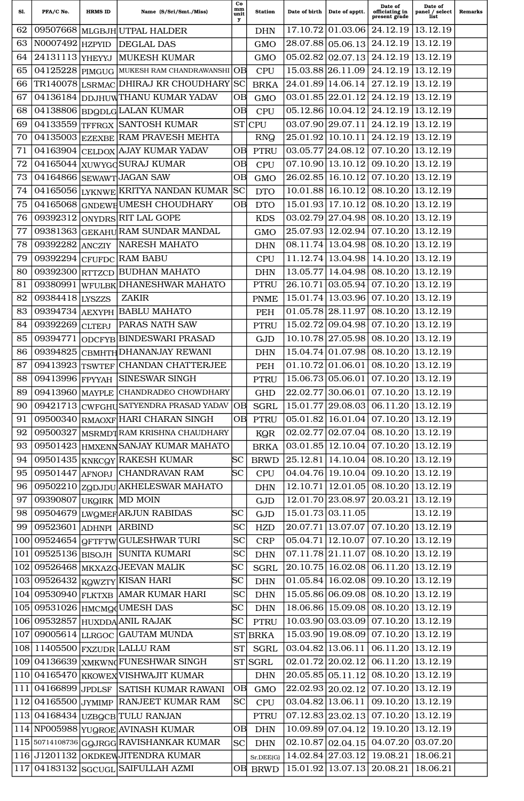| Sl.        | PFA/C No.              | <b>HRMS ID</b> | Name (S/Sri/Smt./Miss)                                                         | Co<br>mm<br>unit<br>у            | <b>Station</b>            | Date of birth     | Date of apptt.             | Date of<br>officiating in<br>present grade                                         | Date of<br>panel / select<br>list | <b>Remarks</b> |
|------------|------------------------|----------------|--------------------------------------------------------------------------------|----------------------------------|---------------------------|-------------------|----------------------------|------------------------------------------------------------------------------------|-----------------------------------|----------------|
| 62         | 09507668               |                | MLGBJH UTPAL HALDER                                                            |                                  | <b>DHN</b>                | 17.10.72          | 01.03.06                   | 24.12.19                                                                           | 13.12.19                          |                |
| 63         | N0007492               | <b>HZPYID</b>  | <b>DEGLAL DAS</b>                                                              |                                  | <b>GMO</b>                | 28.07.88          | 05.06.13                   | 24.12.19                                                                           | 13.12.19                          |                |
| 64         | 24131113               | YHEYYJ         | <b>MUKESH KUMAR</b>                                                            |                                  | <b>GMO</b>                | 05.02.82          | 02.07.13                   | 24.12.19                                                                           | 13.12.19                          |                |
| 65         | 04125228               |                | PIMGUG MUKESH RAM CHANDRAWANSHI                                                | lОB                              | <b>CPU</b>                | 15.03.88          | 26.11.09                   | 24.12.19                                                                           | 13.12.19                          |                |
| 66         | TR140078               | <b>LSRMAC</b>  | DHIRAJ KR CHOUDHARY                                                            | SC                               | <b>BRKA</b>               | 24.01.89          | 14.06.14                   | 27.12.19                                                                           | 13.12.19                          |                |
| 67         | 04136184               |                | DDJHUWTHANU KUMAR YADAV                                                        | OВ                               | <b>GMO</b>                | 03.01.85 22.01.12 |                            | 24.12.19                                                                           | 13.12.19                          |                |
| 68         | 04138806               |                | <b>BDQDLG LALAN KUMAR</b>                                                      | OВ                               | <b>CPU</b>                | 05.12.86          | 10.04.12                   | 24.12.19                                                                           | 13.12.19                          |                |
| 69         | 04133559               | <b>TFFRGX</b>  | <b>SANTOSH KUMAR</b>                                                           | <b>ST</b>                        | <b>CPU</b>                | 03.07.90          | 29.07.11                   | 24.12.19                                                                           | 13.12.19                          |                |
| 70         | 04135003               |                | <b>EZEXBE RAM PRAVESH MEHTA</b>                                                |                                  | <b>RNQ</b>                | 25.01.92          | 10.10.11                   | 24.12.19                                                                           | 13.12.19                          |                |
| 71         | 04163904               |                | CELDOX AJAY KUMAR YADAV                                                        | OВ                               | <b>PTRU</b>               | 03.05.77          | 24.08.12                   | 07.10.20                                                                           | 13.12.19                          |                |
| 72         | 04165044               |                | XUWYGOSURAJ KUMAR                                                              | OВ                               | <b>CPU</b>                | 07.10.90          | 13.10.12                   | 09.10.20                                                                           | 13.12.19                          |                |
| 73         | 04164866               |                | SEWAWT JAGAN SAW                                                               | OВ                               | <b>GMO</b>                | 26.02.85          | 16.10.12                   | 07.10.20                                                                           | 13.12.19                          |                |
| 74         | 04165056               |                | LYKNWE KRITYA NANDAN KUMAR                                                     | <b>SC</b>                        | <b>DTO</b>                | 10.01.88          | 16.10.12                   | 08.10.20                                                                           | 13.12.19                          |                |
| 75         | 04165068               |                | GNDEWE UMESH CHOUDHARY                                                         | OВ                               | <b>DTO</b>                | 15.01.93          | 17.10.12                   | 08.10.20                                                                           | 13.12.19                          |                |
| 76         | 09392312               |                | ONYDRS RIT LAL GOPE                                                            |                                  | <b>KDS</b>                | 03.02.79          | 27.04.98                   | 08.10.20                                                                           | 13.12.19                          |                |
| 77         | 09381363               |                | <b>GEKAHU RAM SUNDAR MANDAL</b>                                                |                                  | <b>GMO</b>                |                   | 25.07.93 12.02.94          | 07.10.20                                                                           | 13.12.19                          |                |
| 78         | 09392282               | <b>ANCZIY</b>  | <b>NARESH MAHATO</b>                                                           |                                  | <b>DHN</b>                | 08.11.74          | 13.04.98                   | 08.10.20                                                                           | 13.12.19                          |                |
| 79         | 09392294               | <b>CFUFDC</b>  | <b>RAM BABU</b>                                                                |                                  | <b>CPU</b>                | 11.12.74          | 13.04.98                   | 14.10.20                                                                           | 13.12.19                          |                |
| 80         | 09392300               | <b>RTTZCD</b>  | <b>BUDHAN MAHATO</b>                                                           |                                  | <b>DHN</b>                | 13.05.77          | 14.04.98                   | 08.10.20                                                                           | 13.12.19                          |                |
| 81         | 09380991               | <b>WFULBK</b>  | <b>DHANESHWAR MAHATO</b>                                                       |                                  | <b>PTRU</b>               | 26.10.71          | 03.05.94                   | 07.10.20                                                                           | 13.12.19                          |                |
| 82         | 09384418               | <b>LYSZZS</b>  | <b>ZAKIR</b>                                                                   |                                  | <b>PNME</b>               | 15.01.74          | 13.03.96                   | 07.10.20                                                                           | 13.12.19                          |                |
| 83         | 09394734               | AEXYPH         | <b>BABLU MAHATO</b>                                                            |                                  | <b>PEH</b>                | 01.05.78          | 28.11.97                   | 08.10.20                                                                           | 13.12.19                          |                |
| 84         | 09392269               | <b>CLTEPJ</b>  | PARAS NATH SAW                                                                 |                                  | <b>PTRU</b>               | 15.02.72          | 09.04.98                   | 07.10.20                                                                           | 13.12.19                          |                |
| 85         | 09394771               | <b>ODCFYB</b>  | <b>BINDESWARI PRASAD</b>                                                       |                                  | <b>GJD</b>                | 10.10.78          | 27.05.98                   | 08.10.20                                                                           | 13.12.19                          |                |
| 86         | 09394825               |                | CBMHTH DHANANJAY REWANI                                                        |                                  | <b>DHN</b>                | 15.04.74          | 01.07.98                   | 08.10.20                                                                           | 13.12.19                          |                |
| 87         | 09413923               | <b>TSWTEF</b>  | <b>CHANDAN CHATTERJEE</b>                                                      |                                  | <b>PEH</b>                | 01.10.72          | 01.06.01                   | 08.10.20                                                                           | 13.12.19                          |                |
| 88         | 09413996   FPYYAH      |                | <b>SINESWAR SINGH</b>                                                          |                                  | <b>PTRU</b>               | 15.06.73          | 05.06.01                   | 07.10.20                                                                           | 13.12.19                          |                |
| 89         |                        |                | 09413960 MAYPLE CHANDRADEO CHOWDHARY                                           |                                  | <b>GHD</b>                |                   |                            | 22.02.77 30.06.01 07.10.20 13.12.19                                                |                                   |                |
| 90         | 09421713               |                | CWFGHUSATYENDRA PRASAD YADAV                                                   | <b>OB</b>                        | <b>SGRL</b>               |                   |                            | 15.01.77 29.08.03 06.11.20 13.12.19                                                |                                   |                |
| 91         | 09500340               |                | RMAOXF HARI CHARAN SINGH                                                       | OВ                               | <b>PTRU</b>               |                   |                            | $05.01.82$   16.01.04   07.10.20   13.12.19                                        |                                   |                |
| 92         | 09500327               |                | MSRMDTRAM KRISHNA CHAUDHARY                                                    |                                  | KQR                       |                   |                            | $02.02.77 \mid 02.07.04 \mid 08.10.20 \mid 13.12.19$                               |                                   |                |
| 93         | 09501423               |                | HMXENN SANJAY KUMAR MAHATO                                                     |                                  | <b>BRKA</b>               |                   |                            | $03.01.85$   12.10.04   07.10.20   13.12.19                                        |                                   |                |
| 94         | 09501435               |                | KNKCQY RAKESH KUMAR                                                            | <b>SC</b>                        | <b>BRWD</b>               |                   |                            | 25.12.81   14.10.04   08.10.20   13.12.19                                          |                                   |                |
| 95         |                        |                | 09501447 AFNOPJ CHANDRAVAN RAM                                                 | <b>SC</b>                        | <b>CPU</b>                |                   |                            | 04.04.76 19.10.04 09.10.20 13.12.19                                                |                                   |                |
| 96         |                        |                | 09502210 ZQDJDU AKHELESWAR MAHATO                                              |                                  | <b>DHN</b>                |                   |                            | 12.10.71   12.01.05   08.10.20                                                     | 13.12.19                          |                |
| 97         | 09390807               |                | UKQIRK MD MOIN                                                                 |                                  | GJD                       |                   | 12.01.70 23.08.97 20.03.21 |                                                                                    | 13.12.19                          |                |
| 98         |                        |                | 09504679 LWQMEF ARJUN RABIDAS                                                  | <b>SC</b>                        | GJD                       |                   | 15.01.73 03.11.05          |                                                                                    | 13.12.19                          |                |
| 99         | 09523601 ADHNPI ARBIND |                |                                                                                | <b>SC</b>                        | <b>HZD</b>                |                   |                            | 20.07.71   13.07.07   07.10.20   13.12.19                                          |                                   |                |
| 100        |                        |                | 09524654 GFTFTWGULESHWAR TURI                                                  | <b>SC</b>                        | <b>CRP</b>                |                   | $05.04.71$   12.10.07      | $07.10.20$   13.12.19                                                              |                                   |                |
| 101        |                        |                | 09525136 BISOJH SUNITA KUMARI                                                  | <b>SC</b>                        | <b>DHN</b>                |                   |                            | 07.11.78 21.11.07 08.10.20 13.12.19                                                |                                   |                |
| 102<br>103 |                        |                | 09526468 MKXAZQJEEVAN MALIK                                                    | $_{\rm SC}$<br><b>SC</b>         | <b>SGRL</b>               |                   |                            | 20.10.75 16.02.08 06.11.20 13.12.19<br>$01.05.84$   16.02.08   09.10.20   13.12.19 |                                   |                |
|            |                        |                | 09526432 KQWZTY KISAN HARI                                                     |                                  | $DHN$                     |                   |                            |                                                                                    |                                   |                |
| 104<br>105 |                        |                | 09530940 FLKTXB AMAR KUMAR HARI                                                | <b>SC</b><br>$\overline{\rm sc}$ | <b>DHN</b>                |                   |                            | 15.05.86 06.09.08 08.10.20 13.12.19<br>18.06.86 15.09.08 08.10.20 13.12.19         |                                   |                |
|            |                        |                | 09531026 HMCMQdUMESH DAS                                                       | <b>SC</b>                        | <b>DHN</b>                |                   |                            | 10.03.90 03.03.09 07.10.20 13.12.19                                                |                                   |                |
|            |                        |                | 106 09532857 HUXDDA ANIL RAJAK                                                 |                                  | <b>PTRU</b>               |                   |                            |                                                                                    |                                   |                |
| 107<br>108 |                        |                | 09005614 LLRGOC GAUTAM MUNDA                                                   | <b>ST</b><br><b>ST</b>           | <b>BRKA</b>               |                   |                            | 15.03.90 19.08.09 07.10.20 13.12.19<br>$03.04.82$  13.06.11 06.11.20 13.12.19      |                                   |                |
|            |                        |                | $11405500$ $\text{FXZUDR}$ LALLU RAM                                           |                                  | <b>SGRL</b>               |                   |                            | $02.01.72$ 20.02.12 06.11.20                                                       | 13.12.19                          |                |
| 110        | 04165470               |                | 109 04136639 XMKWN FUNESHWAR SINGH                                             |                                  | ST SGRL                   |                   |                            | 20.05.85 05.11.12 08.10.20 13.12.19                                                |                                   |                |
|            |                        |                | <b>KKOWEX VISHWAJIT KUMAR</b><br>$111$   04166899  JPDLSF  SATISH KUMAR RAWANI | OB                               | <b>DHN</b><br><b>GMO</b>  |                   |                            | 22.02.93 20.02.12 07.10.20 13.12.19                                                |                                   |                |
|            |                        |                | $\left 112\right $ 04165500 $\left $ j $_{\rm YMIMP}$ RANJEET KUMAR RAM        | <b>SC</b>                        | <b>CPU</b>                |                   |                            | $03.04.82$   13.06.11   09.10.20   13.12.19                                        |                                   |                |
| 113        |                        |                |                                                                                |                                  |                           |                   |                            | $07.12.83$ 23.02.13 07.10.20 13.12.19                                              |                                   |                |
|            |                        |                | 04168434   UZBQCB TULU RANJAN<br>114 NP005988 YUQROE AVINASH KUMAR             | ОB                               | <b>PTRU</b><br><b>DHN</b> |                   |                            | 10.09.89 07.04.12 19.10.20 13.12.19                                                |                                   |                |
|            |                        |                | $\left 115\right $ 50714108736 $\left $ GQJRGG $\right $ RAVISHANKAR KUMAR     | <b>SC</b>                        | <b>DHN</b>                |                   |                            | $02.10.87 \mid 02.04.15 \mid 04.07.20$                                             | 03.07.20                          |                |
|            | $\sqrt{116}$ J1201132  |                | OKDKEWJITENDRA KUMAR                                                           |                                  | Sr.DEE(G)                 |                   |                            | $14.02.84$ 27.03.12 19.08.21                                                       | 18.06.21                          |                |
|            |                        |                | $\boxed{117}$ 04183132 SGCUGL SAIFULLAH AZMI                                   |                                  |                           |                   |                            | OB BRWD 15.01.92 13.07.13 20.08.21 18.06.21                                        |                                   |                |
|            |                        |                |                                                                                |                                  |                           |                   |                            |                                                                                    |                                   |                |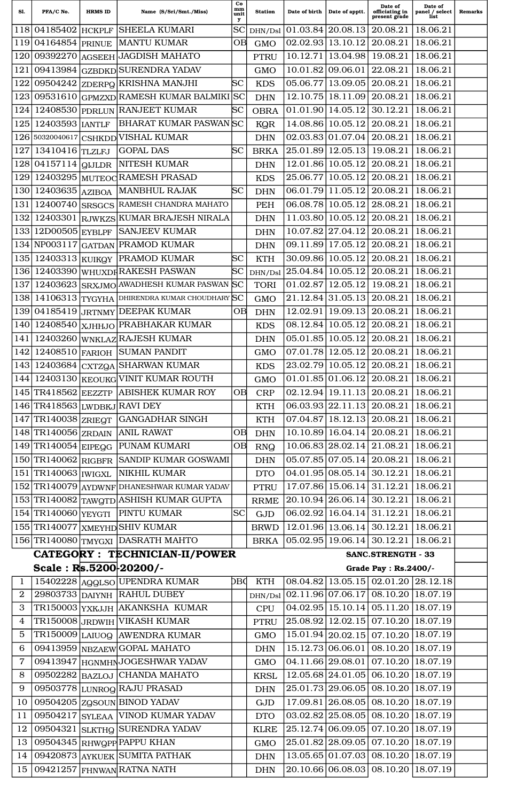| Sl.            | PFA/C No.                       | <b>HRMS ID</b> | Name (S/Sri/Smt./Miss)                                      | Co<br>mm<br>unit<br>у | <b>Station</b> | Date of birth | Date of apptt.                         | Date of<br>officiating in<br>present grade           | Date of<br>panel / select<br>list | <b>Remarks</b> |
|----------------|---------------------------------|----------------|-------------------------------------------------------------|-----------------------|----------------|---------------|----------------------------------------|------------------------------------------------------|-----------------------------------|----------------|
| 118            | 04185402                        | <b>HCKPLF</b>  | <b>SHEELA KUMARI</b>                                        | SC                    | DHN/Dsl        | 01.03.84      | 20.08.13                               | 20.08.21                                             | 18.06.21                          |                |
| 119            | 04164854                        | <b>PRINUE</b>  | <b>MANTU KUMAR</b>                                          | OВ                    | <b>GMO</b>     | 02.02.93      | 13.10.12                               | 20.08.21                                             | 18.06.21                          |                |
| 120            | 09392270                        | <b>AGSEEH</b>  | JAGDISH MAHATO                                              |                       | <b>PTRU</b>    | 10.12.71      | 13.04.98                               | 19.08.21                                             | 18.06.21                          |                |
| 121            | 09413984                        | <b>GZBDKD</b>  | <b>SURENDRA YADAV</b>                                       |                       | <b>GMO</b>     | 10.01.82      | 09.06.01                               | 22.08.21                                             | 18.06.21                          |                |
| 122            | 09504242                        | <b>ZDERPQ</b>  | <b>KRISHNA MANJHI</b>                                       | SС                    | <b>KDS</b>     | 05.06.77      | 13.09.05                               | 20.08.21                                             | 18.06.21                          |                |
| 123            | 09531610                        |                | GPMZXD RAMESH KUMAR BALMIKI                                 | <b>SC</b>             | <b>DHN</b>     | 12.10.75      | 18.11.09                               | 20.08.21                                             | 18.06.21                          |                |
| 124            | 12408530                        | <b>PDRLUN</b>  | <b>RANJEET KUMAR</b>                                        | SС                    | <b>OBRA</b>    | 01.01.90      | 14.05.12                               | 30.12.21                                             | 18.06.21                          |                |
| 125            | 12403593                        | <b>IANTLF</b>  | <b>BHARAT KUMAR PASWANSC</b>                                |                       | KQR            | 14.08.86      | 10.05.12                               | 20.08.21                                             | 18.06.21                          |                |
| 126            | 50320040617                     | <b>CSHKDD</b>  | <b>VISHAL KUMAR</b>                                         |                       | <b>DHN</b>     | 02.03.83      | 01.07.04                               | 20.08.21                                             | 18.06.21                          |                |
| 127            | 13410416                        | <b>TLZLFJ</b>  | <b>GOPAL DAS</b>                                            | SС                    | <b>BRKA</b>    | 25.01.89      | 12.05.13                               | 19.08.21                                             | 18.06.21                          |                |
| 128            | 04157114                        | <b>QIJLDR</b>  | <b>NITESH KUMAR</b>                                         |                       | <b>DHN</b>     | 12.01.86      | 10.05.12                               | 20.08.21                                             | 18.06.21                          |                |
| 129            | 12403295                        | <b>MUTEOC</b>  | <b>RAMESH PRASAD</b>                                        |                       | <b>KDS</b>     | 25.06.77      | 10.05.12                               | 20.08.21                                             | 18.06.21                          |                |
| 130            | 12403635                        | <b>AZIBOA</b>  | <b>MANBHUL RAJAK</b>                                        | SС                    | <b>DHN</b>     | 06.01.79      | 11.05.12                               | 20.08.21                                             | 18.06.21                          |                |
| 131            | 12400740                        | <b>SRSGCS</b>  | RAMESH CHANDRA MAHATO                                       |                       | PEH            | 06.08.78      | 10.05.12                               | 28.08.21                                             | 18.06.21                          |                |
| 132            | 12403301                        | <b>RJWKZS</b>  | KUMAR BRAJESH NIRALA                                        |                       | <b>DHN</b>     | 11.03.80      | 10.05.12                               | 20.08.21                                             | 18.06.21                          |                |
| 133            | 12D00505 EYBLPF                 |                | <b>SANJEEV KUMAR</b>                                        |                       | <b>DHN</b>     | 10.07.82      | 27.04.12                               | 20.08.21                                             | 18.06.21                          |                |
| 134            | NP003117                        | <b>GATDAN</b>  | <b>PRAMOD KUMAR</b>                                         |                       | <b>DHN</b>     | 09.11.89      | 17.05.12                               | 20.08.21                                             | 18.06.21                          |                |
| 135            | 12403313                        | <b>KUIKQY</b>  | PRAMOD KUMAR                                                | SС                    | <b>KTH</b>     | 30.09.86      | 10.05.12                               | 20.08.21                                             | 18.06.21                          |                |
| 136            | 12403390                        |                | <b>WHUXDF RAKESH PASWAN</b>                                 | SС                    | DHN/Dsl        | 25.04.84      | 10.05.12                               | 20.08.21                                             | 18.06.21                          |                |
| 137            | 12403623                        | <b>SRXJMO</b>  | AWADHESH KUMAR PASWAN                                       | SС                    | <b>TORI</b>    | 01.02.87      | 12.05.12                               | 19.08.21                                             | 18.06.21                          |                |
| 138            | 14106313                        | <b>TYGYHA</b>  | DHIRENDRA KUMAR CHOUDHARY SC                                |                       | <b>GMO</b>     | 21.12.84      | 31.05.13                               | 20.08.21                                             | 18.06.21                          |                |
| 139            | 04185419                        | <b>JRTNMY</b>  | <b>DEEPAK KUMAR</b>                                         | OΒ                    | <b>DHN</b>     | 12.02.91      | 19.09.13                               | 20.08.21                                             | 18.06.21                          |                |
| 140            | 12408540                        | <b>XJHHJO</b>  | PRABHAKAR KUMAR                                             |                       | <b>KDS</b>     | 08.12.84      | 10.05.12                               | 20.08.21                                             | 18.06.21                          |                |
| 141            | 12403260                        | <b>WNKLAZ</b>  | <b>RAJESH KUMAR</b>                                         |                       | <b>DHN</b>     | 05.01.85      | 10.05.12                               | 20.08.21                                             | 18.06.21                          |                |
| 142            | 12408510                        | <b>FARIOH</b>  | <b>SUMAN PANDIT</b>                                         |                       | <b>GMO</b>     | 07.01.78      | 12.05.12                               | 20.08.21                                             | 18.06.21                          |                |
| 143            | 12403684                        | <b>CXTZQA</b>  | <b>SHARWAN KUMAR</b>                                        |                       | <b>KDS</b>     | 23.02.79      | 10.05.12                               | 20.08.21                                             | 18.06.21                          |                |
| 144            |                                 |                | 12403130 KEOUKG VINIT KUMAR ROUTH                           |                       | <b>GMO</b>     |               | $01.01.85 \mid 01.06.12$               | 20.08.21                                             | 18.06.21                          |                |
|                |                                 |                | 145 TR418562 EEZZTP ABISHEK KUMAR ROY                       | ОB                    | <b>CRP</b>     |               |                                        | $02.12.94$   19.11.13   20.08.21   18.06.21          |                                   |                |
|                | $146$ TR4 18563 LWDBKJ RAVI DEY |                |                                                             |                       | <b>KTH</b>     |               |                                        | $06.03.93 \mid 22.11.13 \mid 20.08.21 \mid 18.06.21$ |                                   |                |
|                | 147 TR140038 ZRIEGT             |                | <b>GANGADHAR SINGH</b>                                      |                       | <b>KTH</b>     |               |                                        | $07.04.87$   18.12.13   20.08.21                     | 18.06.21                          |                |
|                | 148 TR140056 ZRDAIN             |                | <b>ANIL RAWAT</b>                                           | OB                    | <b>DHN</b>     |               | $10.10.89$   16.04.14   20.08.21       |                                                      | 18.06.21                          |                |
|                | 149 TR140054 EIPEGG             |                | <b>PUNAM KUMARI</b>                                         | OB                    | <b>RNQ</b>     |               | $10.06.83$ 28.02.14 21.08.21           |                                                      | 18.06.21                          |                |
|                | 150 TR140062 RIGBFR             |                | SANDIP KUMAR GOSWAMI                                        |                       | <b>DHN</b>     |               | $05.07.85 \mid 07.05.14 \mid 20.08.21$ |                                                      | 18.06.21                          |                |
|                | 151 TR140063   IWIGXL           |                | NIKHIL KUMAR                                                |                       | <b>DTO</b>     |               |                                        | $04.01.95 \mid 08.05.14 \mid 30.12.21 \mid 18.06.21$ |                                   |                |
|                |                                 |                | 152 TR140079 AYDWNF DHANESHWAR KUMAR YADAV                  |                       | <b>PTRU</b>    |               | 17.07.86 15.06.14 31.12.21             |                                                      | 18.06.21                          |                |
|                |                                 |                | 153 TR140082 TAWQTD ASHISH KUMAR GUPTA                      |                       | <b>RRME</b>    |               | 20.10.94 26.06.14 30.12.21             |                                                      | 18.06.21                          |                |
|                |                                 |                | 154 TR140060 YEYGTI PINTU KUMAR                             | <b>SC</b>             | GJD            |               |                                        | 06.02.92   16.04.14   31.12.21   18.06.21            |                                   |                |
|                |                                 |                | 155 TR140077 XMEYHD SHIV KUMAR                              |                       | <b>BRWD</b>    |               |                                        | $12.01.96 \mid 13.06.14 \mid 30.12.21 \mid 18.06.21$ |                                   |                |
|                |                                 |                | 156 TR140080 TMYGXI DASRATH MAHTO                           |                       | <b>BRKA</b>    |               |                                        | $05.02.95 \mid 19.06.14 \mid 30.12.21 \mid 18.06.21$ |                                   |                |
|                |                                 |                | CATEGORY : TECHNICIAN-II/POWER                              |                       |                |               |                                        | <b>SANC.STRENGTH - 33</b>                            |                                   |                |
|                | Scale: $R_s$ 5200 $20200$ /-    |                |                                                             |                       |                |               |                                        | Grade Pay : Rs.2400/-                                |                                   |                |
| 1              |                                 |                | 15402228 AggLSO UPENDRA KUMAR                               | DВd                   | <b>KTH</b>     |               |                                        | 08.04.82   13.05.15   02.01.20   28.12.18            |                                   |                |
| $\overline{2}$ |                                 |                | 29803733 DAIYNH RAHUL DUBEY                                 |                       | DHN/Dsl        |               |                                        | $02.11.96 \mid 07.06.17 \mid 08.10.20 \mid 18.07.19$ |                                   |                |
| 3              |                                 |                | TR150003 YXKJJH AKANKSHA KUMAR                              |                       | <b>CPU</b>     |               |                                        | 04.02.95 15.10.14 05.11.20 18.07.19                  |                                   |                |
| 4              |                                 |                | TR150008 JRDWIH VIKASH KUMAR                                |                       | <b>PTRU</b>    |               |                                        | 25.08.92 12.02.15 07.10.20 18.07.19                  |                                   |                |
| 5              |                                 |                | TR150009 LAIUOQ AWENDRA KUMAR                               |                       | <b>GMO</b>     |               |                                        | 15.01.94 20.02.15 07.10.20 18.07.19                  |                                   |                |
| 6              |                                 |                | 09413959 NBZAEWGOPAL MAHATO                                 |                       | <b>DHN</b>     |               |                                        | 15.12.73 06.06.01 08.10.20 18.07.19                  |                                   |                |
| $\overline{7}$ |                                 |                | 09413947 HGNMHNJOGESHWAR YADAV                              |                       | <b>GMO</b>     |               |                                        | 04.11.66 29.08.01 07.10.20 18.07.19                  |                                   |                |
| 8              |                                 |                | 09502282 BAZLOJ CHANDA MAHATO                               |                       | <b>KRSL</b>    |               |                                        | 12.05.68 24.01.05 06.10.20 18.07.19                  |                                   |                |
| 9              |                                 |                | 09503778 LUNROQ RAJU PRASAD                                 |                       |                |               |                                        | 25.01.73 29.06.05 08.10.20 18.07.19                  |                                   |                |
| 10             |                                 |                | 09504205 ZGSOUN BINOD YADAV                                 |                       | <b>DHN</b>     |               |                                        | 17.09.81 26.08.05 08.10.20 18.07.19                  |                                   |                |
| 11             | 09504217                        |                | SYLEAA VINOD KUMAR YADAV                                    |                       | GJD            |               |                                        | $03.02.82$   25.08.05   08.10.20   18.07.19          |                                   |                |
| 12             |                                 |                |                                                             |                       | <b>DTO</b>     |               |                                        | 25.12.74 06.09.05 07.10.20 18.07.19                  |                                   |                |
| 13             |                                 |                | 09504321 SLKTHQ SURENDRA YADAV                              |                       | <b>KLRE</b>    |               |                                        | 25.01.82 28.09.05 07.10.20 18.07.19                  |                                   |                |
| 14             |                                 |                | 09504345 RHWQPP PAPPU KHAN<br>09420873 AYKUEK SUMITA PATHAK |                       | <b>GMO</b>     |               |                                        | 13.05.65 01.07.03 08.10.20 18.07.19                  |                                   |                |
|                |                                 |                |                                                             |                       | <b>DHN</b>     |               |                                        | $20.10.\overline{66}\,06.08.03\,08.10.20\,18.07.19$  |                                   |                |
|                |                                 |                | $15 09421257 $ FHNWANRATNA NATH                             |                       | <b>DHN</b>     |               |                                        |                                                      |                                   |                |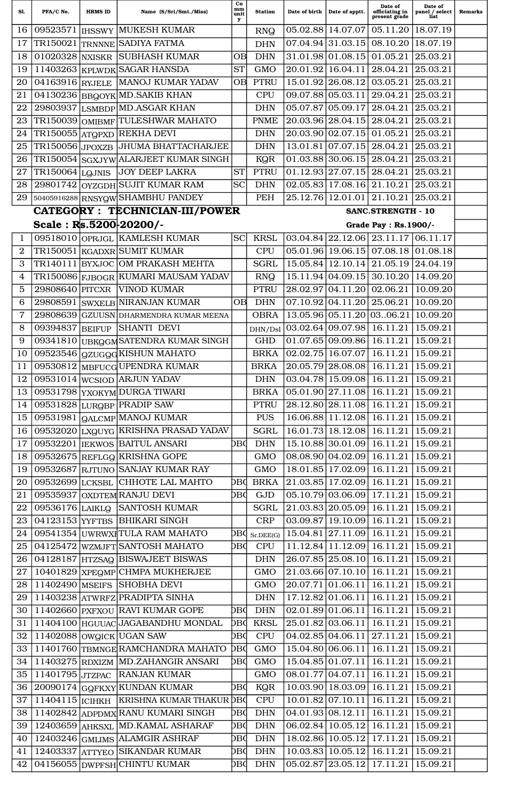| Sl.             | PFA/C No.                            | <b>HRMS ID</b> | Name (S/Sri/Smt./Miss)                     | Co<br>mm<br>unit<br>у | <b>Station</b> | Date of birth | Date of apptt.                             | Date of<br>officiating in<br>present grade                    | Date of<br>panel / select<br>list | <b>Remarks</b> |
|-----------------|--------------------------------------|----------------|--------------------------------------------|-----------------------|----------------|---------------|--------------------------------------------|---------------------------------------------------------------|-----------------------------------|----------------|
| 16              |                                      |                | 09523571   IHSSWY MUKESH KUMAR             |                       | <b>RNQ</b>     |               | 05.02.88 14.07.07                          | 05.11.20                                                      | 18.07.19                          |                |
| 17              | TR150021                             |                | TRNNNE SADIYA FATMA                        |                       | <b>DHN</b>     |               | 07.04.94 31.03.15                          | 08.10.20                                                      | 18.07.19                          |                |
| 18              |                                      |                | 01020328 NXISKR SUBHASH KUMAR              | <b>OB</b>             | <b>DHN</b>     |               | 31.01.98 01.08.15                          | 01.05.21                                                      | 25.03.21                          |                |
| 19              |                                      |                | 11403263 KPLWDK SAGAR HANSDA               | <b>ST</b>             | <b>GMO</b>     |               | $20.01.92$   16.04.11                      | 28.04.21                                                      | 25.03.21                          |                |
| 20              | 04163916 RYJELE                      |                | MANOJ KUMAR YADAV                          | <b>OB</b>             | <b>PTRU</b>    |               | 15.01.92 26.08.12                          | 03.05.21                                                      | 25.03.21                          |                |
| 21              |                                      |                | 04130236 BBQOYK MD. SAKIB KHAN             |                       | <b>CPU</b>     |               | 09.07.88 05.03.11                          | 29.04.21                                                      | 25.03.21                          |                |
| 22              |                                      |                | 29803937 LSMBDP MD.ASGAR KHAN              |                       | <b>DHN</b>     |               | 05.07.87 05.09.17                          | 28.04.21                                                      | 25.03.21                          |                |
| 23              |                                      |                | TR150039 OMIBMF TULESHWAR MAHATO           |                       | <b>PNME</b>    |               | 20.03.96 28.04.15                          | 28.04.21                                                      | 25.03.21                          |                |
| 24              |                                      |                | TR150055 ATQPXD REKHA DEVI                 |                       | <b>DHN</b>     |               | 20.03.90 02.07.15                          | 01.05.21                                                      | 25.03.21                          |                |
| 25              | TR150056 JPOXZB                      |                | JHUMA BHATTACHARJEE                        |                       | <b>DHN</b>     | 13.01.81      | 07.07.15                                   | 28.04.21                                                      | 25.03.21                          |                |
| 26              |                                      |                | TR150054 SGXJYW ALARJEET KUMAR SINGH       |                       | <b>KQR</b>     |               | $01.03.88$   30.06.15                      | 28.04.21                                                      | 25.03.21                          |                |
| 27              | $\overline{\text{TR1}}$ 50064 LQJNIS |                | <b>JOY DEEP LAKRA</b>                      | <b>ST</b>             | <b>PTRU</b>    |               | 01.12.93 27.07.15                          | 28.04.21                                                      | 25.03.21                          |                |
| 28              | 29801742                             |                | OYZGDH SUJIT KUMAR RAM                     | <b>SC</b>             | <b>DHN</b>     |               | $02.05.83$   17.08.16                      | 21.10.21                                                      | 25.03.21                          |                |
| 29              |                                      |                | 50405916288 RNSYQW SHAMBHU PANDEY          |                       | PEH            | 25.12.76      | 12.01.01                                   | 21.10.21                                                      | 25.03.21                          |                |
|                 |                                      |                | <b>CATEGORY : TECHNICIAN-III/POWER</b>     |                       |                |               |                                            | <b>SANC.STRENGTH - 10</b>                                     |                                   |                |
|                 | Scale: $R_s$ 5200 $20200$ /-         |                |                                            |                       |                |               |                                            | Grade Pay : Rs. 1900/-                                        |                                   |                |
| 1               | 09518010                             |                | <b>OPRJGL KAMLESH KUMAR</b>                | <b>SC</b>             | <b>KRSL</b>    |               |                                            | $03.04.84$   22.12.06   23.11.17                              | 06.11.17                          |                |
| $\mathbf{2}$    |                                      |                | TR150051   KGADXR SUMIT KUMAR              |                       | <b>CPU</b>     |               | 05.01.96 19.06.15                          | 07.08.18                                                      | 01.08.18                          |                |
| 3               |                                      |                | TR140111  BYXJOC   OM PRAKASH MEHTA        |                       | <b>SGRL</b>    |               | 15.05.84 12.10.14                          | 21.05.19                                                      | 24.04.19                          |                |
| 4               |                                      |                | TR150086 FJBOGR KUMARI MAUSAM YADAV        |                       | <b>RNQ</b>     |               | 15.11.94 04.09.15                          | 30.10.20                                                      | 14.09.20                          |                |
| 5               | 29808640                             | <b>PITCXR</b>  | <b>VINOD KUMAR</b>                         |                       | <b>PTRU</b>    |               | 28.02.97 04.11.20                          | 02.06.21                                                      | 10.09.20                          |                |
| 6               |                                      |                | 29808591 SWXELB NIRANJAN KUMAR             | ОB                    | <b>DHN</b>     |               | $\overline{07.10.92} \overline{04.1} 1.20$ | 25.06.21                                                      | 10.09.20                          |                |
| 7               | 29808639                             |                | GZUUSN DHARMENDRA KUMAR MEENA              |                       | <b>OBRA</b>    |               | 13.05.96 05.11.20                          | 0306.21                                                       | 10.09.20                          |                |
| 8               | 09394837 BEIFUP                      |                | <b>SHANTI DEVI</b>                         |                       |                |               | DHN/Dsl 03.02.64 09.07.98                  | $\overline{16.1}1.21$                                         | 15.09.21                          |                |
| 9               | 09341810                             |                | UBKOGM SATENDRA KUMAR SINGH                |                       | <b>GHD</b>     |               | 01.07.65 09.09.86                          | 16.11.21                                                      | 15.09.21                          |                |
| 10              | 09523546                             |                | <b>gzuggdKISHUN MAHATO</b>                 |                       | <b>BRKA</b>    |               | $02.02.75$ 16.07.07                        | 16.11.21                                                      | 15.09.21                          |                |
| 11              | 09530812                             |                | MBFUCG UPENDRA KUMAR                       |                       | <b>BRKA</b>    |               | 20.05.79 28.08.08                          | 16.11.21                                                      | 15.09.21                          |                |
| 12              |                                      |                | 09531014   WCSIOD ARJUN YADAV              |                       | <b>DHN</b>     |               | 03.04.78 15.09.08                          | 16.11.21                                                      | 15.09.21                          |                |
| 13 <sup>1</sup> |                                      |                | 09531798 YXOKYM DURGA TIWARI               |                       |                |               |                                            | BRKA   05.01.90   27.11.08   16.11.21   15.09.21              |                                   |                |
| 14              |                                      |                | 09531828 LURGBP PRADIP SAW                 |                       | <b>PTRU</b>    |               |                                            | $\vert 28.12.80 \vert 28.11.08 \vert 16.11.21 \vert 15.09.21$ |                                   |                |
| 15              |                                      |                | 09531981 QALCMP MANOJ KUMAR                |                       | <b>PUS</b>     |               |                                            | 16.06.88 11.12.08 16.11.21                                    | 15.09.21                          |                |
| 16              |                                      |                | 09532020 LXQUYG KRISHNA PRASAD YADAV       |                       | <b>SGRL</b>    |               |                                            | 16.01.73 18.12.08 16.11.21 15.09.21                           |                                   |                |
| 17              |                                      |                | 09532201   IEKWOS   BAITUL ANSARI          | DBC                   | <b>DHN</b>     |               |                                            | 15.10.88 30.01.09 16.11.21                                    | 15.09.21                          |                |
| 18              |                                      |                | 09532675 REFLGQ KRISHNA GOPE               |                       | <b>GMO</b>     |               |                                            | 08.08.90 04.02.09 16.11.21 15.09.21                           |                                   |                |
| 19              |                                      |                | 09532687 RJTUNO SANJAY KUMAR RAY           |                       | <b>GMO</b>     |               |                                            | 18.01.85   17.02.09   16.11.21                                | 15.09.21                          |                |
| 20              |                                      |                | 09532699 LCKSBL CHHOTE LAL MAHTO           | DВQ                   | <b>BRKA</b>    |               |                                            | $21.03.85$ 17.02.09 16.11.21 15.09.21                         |                                   |                |
| 21              |                                      |                | 09535937 OXDTEM RANJU DEVI                 | DBQ                   | GJD            |               |                                            | $05.10.79 \mid 03.06.09 \mid 17.11.21 \mid$                   | 15.09.21                          |                |
| 22              |                                      |                | 09536176 LAIKLQ SANTOSH KUMAR              |                       | <b>SGRL</b>    |               |                                            | $21.03.83$ $20.05.09$ 16.11.21 15.09.21                       |                                   |                |
| 23              |                                      |                | 04123153 YYFTBS BHIKARI SINGH              |                       | <b>CRP</b>     |               |                                            | $03.09.87$   19.10.09   16.11.21                              | 15.09.21                          |                |
| 24              |                                      |                | 09541354 UWRWXI TULA RAM MAHATO            | DВd                   | Sr.DEE(G)      |               |                                            | 15.04.81 27.11.09 16.11.21 15.09.21                           |                                   |                |
| 25              |                                      |                | 04125472 WZMJFT SANTOSH MAHATO             | DBQ                   | <b>CPU</b>     |               |                                            | $11.12.84$   11.12.09   16.11.21                              | 15.09.21                          |                |
| 26              |                                      |                | 04128187 HTZSAQ BISWAJEET BISWAS           |                       | <b>DHN</b>     |               |                                            | $26.07.85$ 25.08.10 16.11.21                                  | 15.09.21                          |                |
| 27              |                                      |                | 10401829 XPEQMP CHMPA MUKHERJEE            |                       | <b>GMO</b>     |               | 21.03.66 07.10.10 16.11.21                 |                                                               | 15.09.21                          |                |
| 28              |                                      |                | 11402490 MSEIFS SHOBHA DEVI                |                       | <b>GMO</b>     |               |                                            | 20.07.71 01.06.11 16.11.21                                    | 15.09.21                          |                |
| 29              |                                      |                | 11403238 ATWRFZ PRADIPTA SINHA             |                       | $\rm{DHN}$     |               |                                            | $17.12.82 \mid 01.06.11 \mid 16.11.21 \mid$                   | 15.09.21                          |                |
| 30              |                                      |                | 11402660 PXFXOU RAVI KUMAR GOPE            | DВd                   | <b>DHN</b>     |               |                                            | 02.01.89 01.06.11 16.11.21                                    | 15.09.21                          |                |
| 31              |                                      |                | 11404100 HGUUAC JAGABANDHU MONDAL          | DВd                   | <b>KRSL</b>    |               | 25.01.82 03.06.11 16.11.21                 |                                                               | 15.09.21                          |                |
| 32              |                                      |                | $11402088$ OWGICK UGAN SAW                 | DВd                   | <b>CPU</b>     |               |                                            | $04.02.85 \mid 04.06.11 \mid 27.11.21 \mid$                   | 15.09.21                          |                |
| 33              |                                      |                | 11401760 TBMNGE RAMCHANDRA MAHATO          | <b>DBC</b>            | <b>GMO</b>     |               |                                            | 15.04.80 06.06.11 16.11.21                                    | 15.09.21                          |                |
| 34              |                                      |                | 11403275 RDXIZM MD.ZAHANGIR ANSARI         | DВd                   | <b>GMO</b>     |               |                                            | $15.04.85 \mid 01.07.11 \mid 16.11.21 \mid$                   | 15.09.21                          |                |
| 35              |                                      |                | 11401795 JTZPAC RANJAN KUMAR               |                       | <b>GMO</b>     |               | $08.01.77 \mid 04.07.11 \mid$              | 16.11.21                                                      | 15.09.21                          |                |
| 36              |                                      |                | 20090174 GQFKXY KUNDAN KUMAR               | DВd                   | KQR            |               |                                            | 10.03.90 18.03.09 16.11.21                                    | 15.09.21                          |                |
| 37              |                                      |                | 11404115  ICIHKH  KRISHNA KUMAR THAKUR DBO |                       | <b>CPU</b>     |               |                                            | $10.01.82$ 07.10.11 16.11.21                                  | 15.09.21                          |                |
| 38              |                                      |                | 11402842 ADPDMX RANU KUMARI SINGH          | DВd                   | <b>DHN</b>     |               |                                            | $04.01.93 \mid 08.12.11 \mid 16.11.21 \mid$                   | 15.09.21                          |                |
| 39              |                                      |                | 12403659 AHKSXL MD.KAMAL ASHARAF           | DВd                   | <b>DHN</b>     |               | 06.02.84   10.05.12                        | 16.11.21                                                      | 15.09.21                          |                |
| 40              |                                      |                | 12403246 GMLIMS ALAMGIR ASHRAF             | DВd                   | <b>DHN</b>     |               |                                            | $18.02.86 \mid 10.05.12 \mid 17.11.21 \mid$                   | 15.09.21                          |                |
| 41              |                                      |                | 12403337 ATTYEO SIKANDAR KUMAR             | DВd                   | <b>DHN</b>     |               |                                            | $10.03.83 \mid 10.05.12 \mid 16.11.21$                        | 15.09.21                          |                |
| 42              |                                      |                | 04156055 DWPFSH CHINTU KUMAR               | DBQ                   | <b>DHN</b>     |               |                                            | $05.02.87$ 23.05.12 17.11.21 15.09.21                         |                                   |                |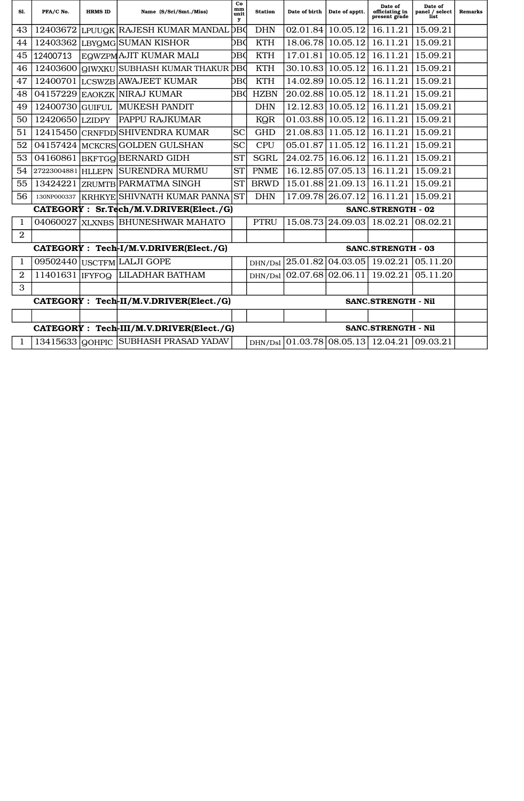| SI.              | PFA/C No.         | <b>HRMS ID</b> | Name (S/Sri/Smt./Miss)                   | Co<br>mm<br>unit<br>у      | <b>Station</b> | Date of birth | Date of apptt.    | Date of<br>officiating in<br>present grade | Date of<br>panel / select<br>list | <b>Remarks</b> |
|------------------|-------------------|----------------|------------------------------------------|----------------------------|----------------|---------------|-------------------|--------------------------------------------|-----------------------------------|----------------|
| 43               | 12403672          | LPUUQK         | RAJESH KUMAR MANDAL                      | DВC                        | <b>DHN</b>     | 02.01.84      | 10.05.12          | 16.11.21                                   | 15.09.21                          |                |
| 44               | 12403362          |                | LBYQMG SUMAN KISHOR                      | DВC                        | <b>KTH</b>     | 18.06.78      | 10.05.12          | 16.11.21                                   | 15.09.21                          |                |
| 45               | 12400713          |                | EQWZPM AJIT KUMAR MALI                   | DBC                        | <b>KTH</b>     | 17.01.81      | 10.05.12          | 16.11.21                                   | 15.09.21                          |                |
| 46               | 12403600          | QIWXKU         | SUBHASH KUMAR THAKUR DBO                 |                            | <b>KTH</b>     | 30.10.83      | 10.05.12          | 16.11.21                                   | 15.09.21                          |                |
| 47               | 12400701          | <b>LCSWZB</b>  | <b>AWAJEET KUMAR</b>                     | DВC                        | <b>KTH</b>     | 14.02.89      | 10.05.12          | 16.11.21                                   | 15.09.21                          |                |
| 48               | 04157229          |                | EAOKZK NIRAJ KUMAR                       | DBd                        | <b>HZBN</b>    | 20.02.88      | 10.05.12          | 18.11.21                                   | 15.09.21                          |                |
| 49               | 12400730          | <b>GUIFUL</b>  | <b>MUKESH PANDIT</b>                     |                            | <b>DHN</b>     | 12.12.83      | 10.05.12          | 16.11.21                                   | 15.09.21                          |                |
| 50               | 12420650          | <b>LZIDPY</b>  | PAPPU RAJKUMAR                           |                            | KQR            | 01.03.88      | 10.05.12          | 16.11.21                                   | 15.09.21                          |                |
| 51               | 12415450          |                | CRNFDD SHIVENDRA KUMAR                   | <b>SC</b>                  | <b>GHD</b>     | 21.08.83      | 11.05.12          | 16.11.21                                   | 15.09.21                          |                |
| 52               | 04157424          |                | MCKCRS GOLDEN GULSHAN                    | <b>SC</b>                  | <b>CPU</b>     | 05.01.87      | 11.05.12          | 16.11.21                                   | 15.09.21                          |                |
| 53               | 04160861          |                | <b>BKFTGQ BERNARD GIDH</b>               | <b>ST</b>                  | <b>SGRL</b>    | 24.02.75      | 16.06.12          | 16.11.21                                   | 15.09.21                          |                |
| 54               | 27223004881       | <b>HLLEPN</b>  | <b>SURENDRA MURMU</b>                    | <b>ST</b>                  | <b>PNME</b>    | 16.12.85      | 07.05.13          | 16.11.21                                   | 15.09.21                          |                |
| 55               | 13424221          |                | ZRUMTB PARMATMA SINGH                    | <b>ST</b>                  | <b>BRWD</b>    | 15.01.88      | 21.09.13          | 16.11.21                                   | 15.09.21                          |                |
| 56               | 130NP000337       |                | KRHKYE SHIVNATH KUMAR PANNA              | <b>ST</b>                  | <b>DHN</b>     |               | 17.09.78 26.07.12 | 16.11.21                                   | 15.09.21                          |                |
|                  |                   |                | CATEGORY : Sr.Tech/M.V.DRIVER(Elect./G)  |                            |                |               |                   | <b>SANC.STRENGTH - 02</b>                  |                                   |                |
| 1                | 04060027          | <b>XLXNBS</b>  | <b>BHUNESHWAR MAHATO</b>                 |                            | <b>PTRU</b>    | 15.08.73      | 24.09.03          | 18.02.21                                   | 08.02.21                          |                |
| $\boldsymbol{2}$ |                   |                |                                          |                            |                |               |                   |                                            |                                   |                |
|                  |                   |                | CATEGORY : Tech-I/M.V.DRIVER(Elect./G)   |                            |                |               |                   | <b>SANC.STRENGTH - 03</b>                  |                                   |                |
| 1                | 09502440          |                | USCTFM LALJI GOPE                        |                            | DHN/Dsl        | 25.01.82      | 04.03.05          | 19.02.21                                   | 05.11.20                          |                |
| $\mathbf{2}$     | 11401631          | <b>IFYFOQ</b>  | <b>LILADHAR BATHAM</b>                   |                            | DHN/Dsl        | 02.07.68      | 02.06.11          | 19.02.21                                   | 05.11.20                          |                |
| 3                |                   |                |                                          |                            |                |               |                   |                                            |                                   |                |
|                  |                   |                | CATEGORY : Tech-II/M.V.DRIVER(Elect./G)  | <b>SANC.STRENGTH - Nil</b> |                |               |                   |                                            |                                   |                |
|                  |                   |                |                                          |                            |                |               |                   |                                            |                                   |                |
|                  |                   |                | CATEGORY : Tech-III/M.V.DRIVER(Elect./G) |                            |                |               |                   | <b>SANC.STRENGTH - Nil</b>                 |                                   |                |
| $\mathbf{1}$     | $13415633$ QOHPIC |                | <b>SUBHASH PRASAD YADAV</b>              |                            | DHN/Dsl        |               | 01.03.78108.05.13 | 12.04.21                                   | 09.03.21                          |                |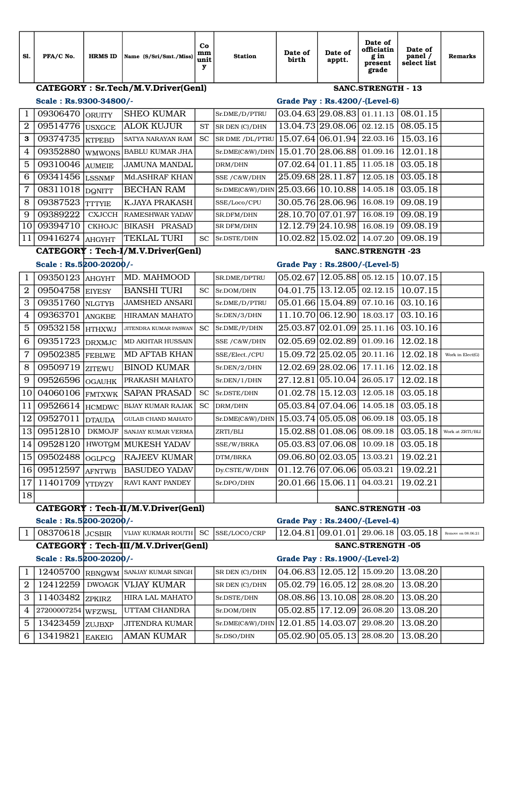| CATEGORY : Sr.Tech/M.V.Driver(Genl)<br><b>SANC.STRENGTH - 13</b><br>Scale: Rs.9300-34800/-<br>Grade Pay : Rs.4200/-(Level-6)<br><b>SHEO KUMAR</b><br>$03.04.63$ 29.08.83 01.11.13<br>08.01.15<br>09306470<br>1<br>Sr.DME/D/PTRU<br>ORUITY<br>$\boldsymbol{2}$<br>09514776<br><b>ALOK KUJUR</b><br>13.04.73 29.08.06<br>02.12.15<br>08.05.15<br><b>ST</b><br>SR DEN (C)/DHN<br><b>USXGCE</b><br>SR DME /DL/PTRU 15.07.64 06.01.94 22.03.16<br>15.03.16<br>09374735<br><b>SC</b><br>3<br><b>SATYA NARAYAN RAM</b><br><b>KTPEBD</b><br>15.01.70 28.06.88<br>12.01.18<br>4<br>09352880<br>01.09.16<br><b>BABLU KUMAR JHA</b><br>Sr.DME(C&W)/DHN<br><b>WMWONS</b> |
|--------------------------------------------------------------------------------------------------------------------------------------------------------------------------------------------------------------------------------------------------------------------------------------------------------------------------------------------------------------------------------------------------------------------------------------------------------------------------------------------------------------------------------------------------------------------------------------------------------------------------------------------------------------|
|                                                                                                                                                                                                                                                                                                                                                                                                                                                                                                                                                                                                                                                              |
|                                                                                                                                                                                                                                                                                                                                                                                                                                                                                                                                                                                                                                                              |
|                                                                                                                                                                                                                                                                                                                                                                                                                                                                                                                                                                                                                                                              |
|                                                                                                                                                                                                                                                                                                                                                                                                                                                                                                                                                                                                                                                              |
|                                                                                                                                                                                                                                                                                                                                                                                                                                                                                                                                                                                                                                                              |
|                                                                                                                                                                                                                                                                                                                                                                                                                                                                                                                                                                                                                                                              |
| 07.02.64 01.11.85<br>5<br>03.05.18<br>09310046<br>11.05.18<br><b>JAMUNA MANDAL</b><br>DRM/DHN<br><b>AUMEIE</b>                                                                                                                                                                                                                                                                                                                                                                                                                                                                                                                                               |
| 25.09.68 28.11.87<br>09341456<br>03.05.18<br>6<br>Md.ASHRAF KHAN<br>12.05.18<br><b>LSSNMF</b><br>SSE / C&W/DHN                                                                                                                                                                                                                                                                                                                                                                                                                                                                                                                                               |
| 7<br>08311018 DQNITT<br>25.03.66 10.10.88<br>03.05.18<br><b>BECHAN RAM</b><br>14.05.18<br>Sr.DME(C&W)/DHN                                                                                                                                                                                                                                                                                                                                                                                                                                                                                                                                                    |
| 8<br>09387523<br><b>K.JAYA PRAKASH</b><br>30.05.76 28.06.96<br>09.08.19<br>16.08.19<br>SSE/Loco/CPU<br>Ittyie                                                                                                                                                                                                                                                                                                                                                                                                                                                                                                                                                |
| 28.10.70 07.01.97<br>09.08.19<br>9<br>09389222<br>16.08.19<br><b>CXJCCH</b><br><b>RAMESHWAR YADAV</b><br>SR.DFM/DHN                                                                                                                                                                                                                                                                                                                                                                                                                                                                                                                                          |
| 12.12.79 24.10.98<br>09.08.19<br>10<br>09394710<br><b>BIKASH PRASAD</b><br>16.08.19<br><b>CKHOJC</b><br>SR DFM/DHN                                                                                                                                                                                                                                                                                                                                                                                                                                                                                                                                           |
| <b>TEKLAL TURI</b><br>11<br>09416274<br>10.02.82 15.02.02<br>09.08.19<br>14.07.20<br><b>SC</b><br>Sr.DSTE/DHN<br><b>AHGYHT</b>                                                                                                                                                                                                                                                                                                                                                                                                                                                                                                                               |
| CATEGORY : Tech-I/M.V.Driver(Genl)<br><b>SANC.STRENGTH -23</b>                                                                                                                                                                                                                                                                                                                                                                                                                                                                                                                                                                                               |
| Scale: Rs.5200-20200/-<br>Grade Pay : Rs.2800/-(Level-5)                                                                                                                                                                                                                                                                                                                                                                                                                                                                                                                                                                                                     |
| MD. MAHMOOD<br>$05.02.67$   12.05.88  05.12.15<br>10.07.15<br>09350123<br>1<br>SR.DME/DPTRU<br>AHGYHT                                                                                                                                                                                                                                                                                                                                                                                                                                                                                                                                                        |
| 04.01.75 13.12.05<br>$\mathbf 2$<br>09504758<br><b>BANSHI TURI</b><br>02.12.15<br>10.07.15<br><b>SC</b><br>Sr.DOM/DHN<br><b>EIYESY</b>                                                                                                                                                                                                                                                                                                                                                                                                                                                                                                                       |
| 3<br>09351760<br>05.01.66 15.04.89<br>07.10.16<br>03.10.16<br><b>JAMSHED ANSARI</b><br>Sr.DME/D/PTRU<br><b>NLGTYB</b>                                                                                                                                                                                                                                                                                                                                                                                                                                                                                                                                        |
| 11.10.70 06.12.90<br>03.10.16<br>4<br>09363701<br>18.03.17<br><b>HIRAMAN MAHATO</b><br>Sr.DEN/3/DHN<br>ANGKBE                                                                                                                                                                                                                                                                                                                                                                                                                                                                                                                                                |
| 03.10.16<br>5<br>09532158 HTHXWJ<br>25.03.87 02.01.09<br>25.11.16<br><b>SC</b><br>Sr.DME/P/DHN<br>JITENDRA KUMAR PASWAN                                                                                                                                                                                                                                                                                                                                                                                                                                                                                                                                      |
| 09351723<br>02.05.69 02.02.89<br>01.09.16<br>12.02.18<br>6<br><b>MD AKHTAR HUSSAIN</b><br>SSE /C&W/DHN<br><b>DRXMJC</b>                                                                                                                                                                                                                                                                                                                                                                                                                                                                                                                                      |
| 7<br>15.09.72 25.02.05<br>09502385<br>12.02.18<br>MD AFTAB KHAN<br>20.11.16<br>SSE/Elect./CPU<br>Work in Elect(G)<br><b>FEBLWE</b>                                                                                                                                                                                                                                                                                                                                                                                                                                                                                                                           |
| 8<br>09509719<br>12.02.69 28.02.06<br>12.02.18<br><b>BINOD KUMAR</b><br>17.11.16<br>Sr.DEN/2/DHN<br><b>ZITEWU</b>                                                                                                                                                                                                                                                                                                                                                                                                                                                                                                                                            |
| 27.12.81 05.10.04<br>12.02.18<br>9<br>09526596<br>26.05.17<br>PRAKASH MAHATO<br>Sr.DEN/1/DHN<br><b>OGAUHK</b>                                                                                                                                                                                                                                                                                                                                                                                                                                                                                                                                                |
| 04060106<br>01.02.78 15.12.03<br>03.05.18<br>10<br><b>SAPAN PRASAD</b><br><b>SC</b><br>12.05.18<br>Sr.DSTE/DHN<br><b>FMTXWK</b>                                                                                                                                                                                                                                                                                                                                                                                                                                                                                                                              |
| 11<br>09526614<br>05.03.84 07.04.06<br>03.05.18<br><b>SC</b><br>14.05.18<br><b>BIJAY KUMAR RAJAK</b><br>DRM/DHN<br><b>HCMDWC</b>                                                                                                                                                                                                                                                                                                                                                                                                                                                                                                                             |
| $\overline{12}$<br>09527011<br>Sr.DME(C&W)/DHN 15.03.74 05.05.08 06.09.18<br>03.05.18<br>GULAB CHAND MAHATO<br><b>DTAUDA</b>                                                                                                                                                                                                                                                                                                                                                                                                                                                                                                                                 |
| 15.02.88 01.08.06<br>09512810<br>03.05.18<br>13<br>08.09.18<br><b>DKMOJF</b><br>SANJAY KUMAR VERMA<br>ZRTI/BLI<br>Work at ZRTI/BLI                                                                                                                                                                                                                                                                                                                                                                                                                                                                                                                           |
| 05.03.83 07.06.08<br>09528120<br>03.05.18<br>14<br>  HWOTQM   MUKESH YADAV<br>10.09.18<br>SSE/W/BRKA                                                                                                                                                                                                                                                                                                                                                                                                                                                                                                                                                         |
| 09502488<br>09.06.80 02.03.05<br>19.02.21<br><b>RAJEEV KUMAR</b><br>13.03.21<br>15<br>OGLPCQ<br>DTM/BRKA                                                                                                                                                                                                                                                                                                                                                                                                                                                                                                                                                     |
| 09512597<br>01.12.76 07.06.06<br><b>BASUDEO YADAV</b><br>19.02.21<br>16<br>05.03.21<br>Dy.CSTE/W/DHN<br><b>AFNTWB</b>                                                                                                                                                                                                                                                                                                                                                                                                                                                                                                                                        |
| 11401709<br>20.01.66 15.06.11<br>19.02.21<br>17<br>RAVI KANT PANDEY<br>04.03.21<br>Sr.DPO/DHN<br><b>YTDYZY</b>                                                                                                                                                                                                                                                                                                                                                                                                                                                                                                                                               |
| 18                                                                                                                                                                                                                                                                                                                                                                                                                                                                                                                                                                                                                                                           |
| CATEGORY : Tech-II/M.V.Driver(Genl)<br><b>SANC.STRENGTH -03</b><br>Scale: Rs.5200-20200/-<br><b>Grade Pay: Rs.2400/-(Level-4)</b>                                                                                                                                                                                                                                                                                                                                                                                                                                                                                                                            |
| 12.04.81 09.01.01 29.06.18 <br>08370618 JCSBIR<br>03.05.18<br>$\mathbf{1}$<br>VIJAY KUKMAR ROUTH<br>SC.<br>SSE/LOCO/CRP<br>Remove on 08.06.21                                                                                                                                                                                                                                                                                                                                                                                                                                                                                                                |
| CATEGORY : Tech-III/M.V.Driver(Genl)<br><b>SANC.STRENGTH -05</b>                                                                                                                                                                                                                                                                                                                                                                                                                                                                                                                                                                                             |
| Scale: Rs.5200-20200/-<br><b>Grade Pay: Rs.1900/-(Level-2)</b>                                                                                                                                                                                                                                                                                                                                                                                                                                                                                                                                                                                               |
| 12405700<br>04.06.83 12.05.12<br>15.09.20<br>13.08.20<br>SANJAY KUMAR SINGH<br>1<br>RBNQWM<br>SR DEN (C)/DHN                                                                                                                                                                                                                                                                                                                                                                                                                                                                                                                                                 |
| $\overline{2}$<br>12412259<br><b>VIJAY KUMAR</b><br>05.02.79 16.05.12<br>13.08.20<br><b>DWOAGK</b><br>28.08.20<br>SR DEN (C)/DHN                                                                                                                                                                                                                                                                                                                                                                                                                                                                                                                             |
| 08.08.86 13.10.08 28.08.20<br>3<br>11403482<br>HIRA LAL MAHATO<br>13.08.20<br>Sr.DSTE/DHN<br><b>ZPKIRZ</b>                                                                                                                                                                                                                                                                                                                                                                                                                                                                                                                                                   |
| 05.02.85 17.12.09<br>13.08.20<br>27200007254 WFZWSL<br>UTTAM CHANDRA<br>26.08.20<br>4<br>Sr.DOM/DHN                                                                                                                                                                                                                                                                                                                                                                                                                                                                                                                                                          |
| 12.01.85 14.03.07<br>5<br>13423459<br>29.08.20<br>13.08.20<br>JITENDRA KUMAR<br>Sr.DME(C&W)/DHN  <br>ZUJBXP                                                                                                                                                                                                                                                                                                                                                                                                                                                                                                                                                  |
| 05.02.90 05.05.13<br>13419821<br><b>AMAN KUMAR</b><br>13.08.20<br>28.08.20<br>6<br>Sr.DSO/DHN<br><b>EAKEIG</b>                                                                                                                                                                                                                                                                                                                                                                                                                                                                                                                                               |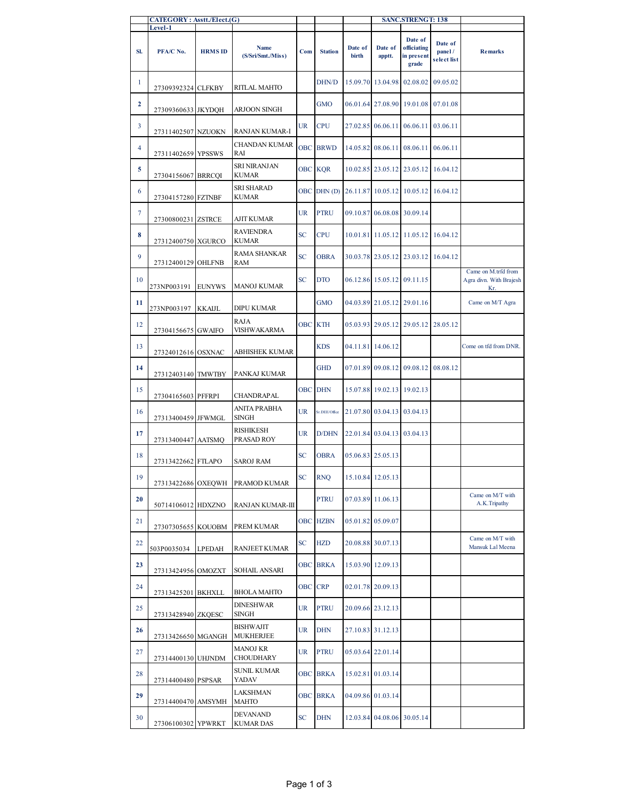|                | CATEGORY: Asstt./Elect.(G)<br>Level-1 |                |                                 |           |                 |                  |                   | <b>SANC.STRENGT: 138</b>                      |                                  |                                                       |
|----------------|---------------------------------------|----------------|---------------------------------|-----------|-----------------|------------------|-------------------|-----------------------------------------------|----------------------------------|-------------------------------------------------------|
| SI.            | PFA/C No.                             | <b>HRMS ID</b> | Name<br>(S/Sri/Smt./Miss)       | Com       | <b>Station</b>  | Date of<br>birth | Date of<br>apptt. | Date of<br>officiating<br>in present<br>grade | Date of<br>panel/<br>select list | <b>Remarks</b>                                        |
| 1              | 27309392324 CLFKBY                    |                | RITLAL MAHTO                    |           | DHN/D           |                  | 15.09.70 13.04.98 | 02.08.02                                      | 09.05.02                         |                                                       |
| $\overline{2}$ | 27309360633 JKYDQH                    |                | ARJOON SINGH                    |           | <b>GMO</b>      |                  | 06.01.64 27.08.90 | 19.01.08                                      | 07.01.08                         |                                                       |
| $\mathbf{3}$   | 27311402507 NZUOKN                    |                | RANJAN KUMAR-I                  | UR        | <b>CPU</b>      |                  | 27.02.85 06.06.11 | 06.06.11                                      | 03.06.11                         |                                                       |
| $\overline{4}$ | 27311402659 YPSSWS                    |                | CHANDAN KUMAR<br>RAI            |           | <b>OBC BRWD</b> | 14.05.82         | 08.06.11          | 08.06.11                                      | 06.06.11                         |                                                       |
| 5              | 27304156067 BRRCQI                    |                | SRI NIRANJAN<br>KUMAR           |           | <b>OBC KQR</b>  |                  |                   | 10.02.85 23.05.12 23.05.12                    | 16.04.12                         |                                                       |
| 6              | 27304157280 FZTNBF                    |                | SRI SHARAD<br>KUMAR             |           |                 |                  |                   | OBC DHN (D) 26.11.87 10.05.12 10.05.12        | 16.04.12                         |                                                       |
| $\tau$         | 27300800231 ZSTRCE                    |                | <b>AJIT KUMAR</b>               | UR        | <b>PTRU</b>     |                  | 09.10.87 06.08.08 | 30.09.14                                      |                                  |                                                       |
| 8              | 27312400750 XGURCO                    |                | RAVIENDRA<br>KUMAR              | <b>SC</b> | <b>CPU</b>      |                  |                   | 10.01.81 11.05.12 11.05.12 16.04.12           |                                  |                                                       |
| 9              | 27312400129 OHLFNB                    |                | RAMA SHANKAR<br>RAM             | <b>SC</b> | <b>OBRA</b>     |                  | 30.03.78 23.05.12 | 23.03.12                                      | 16.04.12                         |                                                       |
| 10             | 273NP003191                           | <b>EUNYWS</b>  | MANOJ KUMAR                     | SC        | <b>DTO</b>      |                  | 06.12.86 15.05.12 | 09.11.15                                      |                                  | Came on M.trfd from<br>Agra divn. With Brajesh<br>Kr. |
| 11             | 273NP003197                           | KKAIJL         | DIPU KUMAR                      |           | <b>GMO</b>      |                  |                   | 04.03.89 21.05.12 29.01.16                    |                                  | Came on M/T Agra                                      |
| 12             | 27304156675 GWAIFO                    |                | RAJA<br>VISHWAKARMA             |           | OBC KTH         |                  | 05.03.93 29.05.12 | 29.05.12                                      | 28.05.12                         |                                                       |
| 13             | 27324012616 OSXNAC                    |                | ABHISHEK KUMAR                  |           | <b>KDS</b>      |                  | 04.11.81 14.06.12 |                                               |                                  | Come on tfd from DNR.                                 |
| 14             | 27312403140 TMWTBY                    |                | PANKAJ KUMAR                    |           | <b>GHD</b>      |                  |                   | 07.01.89 09.08.12 09.08.12                    | 08.08.12                         |                                                       |
| 15             | 27304165603 PFFRPI                    |                | CHANDRAPAL                      |           | <b>OBC DHN</b>  | 15.07.88         | 19.02.13          | 19.02.13                                      |                                  |                                                       |
| 16             | 27313400459 JFWMGL                    |                | ANITA PRABHA<br>SINGH           | UR        | Sr.DEE/Office   |                  | 21.07.80 03.04.13 | 03.04.13                                      |                                  |                                                       |
| 17             | 27313400447 AATSMQ                    |                | RISHIKESH<br>PRASAD ROY         | UR        | D/DHN           |                  |                   | 22.01.84 03.04.13 03.04.13                    |                                  |                                                       |
| 18             | 27313422662 FTLAPO                    |                | SAROJ RAM                       | SC        | <b>OBRA</b>     |                  | 05.06.83 25.05.13 |                                               |                                  |                                                       |
| 19             |                                       |                | 27313422686 OXEQWH PRAMOD KUMAR | <b>SC</b> | <b>RNQ</b>      |                  | 15.10.84 12.05.13 |                                               |                                  |                                                       |
| 20             | 50714106012 HDXZNO                    |                | RANJAN KUMAR-III                |           | PTRU            |                  | 07.03.89 11.06.13 |                                               |                                  | Came on M/T with<br>A.K. Tripathy                     |
| 21             | 27307305655 KOUOBM                    |                | PREM KUMAR                      |           | <b>OBC HZBN</b> |                  | 05.01.82 05.09.07 |                                               |                                  |                                                       |
| 22             | 503P0035034                           | LPEDAH         | RANJEET KUMAR                   | SC        | <b>HZD</b>      |                  | 20.08.88 30.07.13 |                                               |                                  | Came on M/T with<br>Mansuk Lal Meena                  |
| 23             | 27313424956 OMOZXT                    |                | SOHAIL ANSARI                   |           | <b>OBC BRKA</b> |                  | 15.03.90 12.09.13 |                                               |                                  |                                                       |
| 24             | 27313425201 BKHXLL                    |                | <b>BHOLA MAHTO</b>              |           | OBC CRP         |                  | 02.01.78 20.09.13 |                                               |                                  |                                                       |
| 25             | 27313428940 ZKQESC                    |                | <b>DINESHWAR</b><br>SINGH       | UR        | PTRU            |                  | 20.09.66 23.12.13 |                                               |                                  |                                                       |
| 26             | 27313426650 MGANGH                    |                | BISHWAJIT<br>MUKHERJEE          | UR        | <b>DHN</b>      |                  | 27.10.83 31.12.13 |                                               |                                  |                                                       |
| 27             | 27314400130 UHJNDM                    |                | MANOJ KR<br><b>CHOUDHARY</b>    | UR        | <b>PTRU</b>     |                  | 05.03.64 22.01.14 |                                               |                                  |                                                       |
| 28             | 27314400480 PSPSAR                    |                | SUNIL KUMAR<br>YADAV            |           | <b>OBC BRKA</b> |                  | 15.02.81 01.03.14 |                                               |                                  |                                                       |
| 29             | 27314400470 AMSYMH                    |                | LAKSHMAN<br>MAHTO               |           | <b>OBC BRKA</b> |                  | 04.09.86 01.03.14 |                                               |                                  |                                                       |
| 30             | 27306100302 YPWRKT                    |                | DEVANAND<br><b>KUMAR DAS</b>    | SC        | DHN             | 12.03.84         | 04.08.06          | 30.05.14                                      |                                  |                                                       |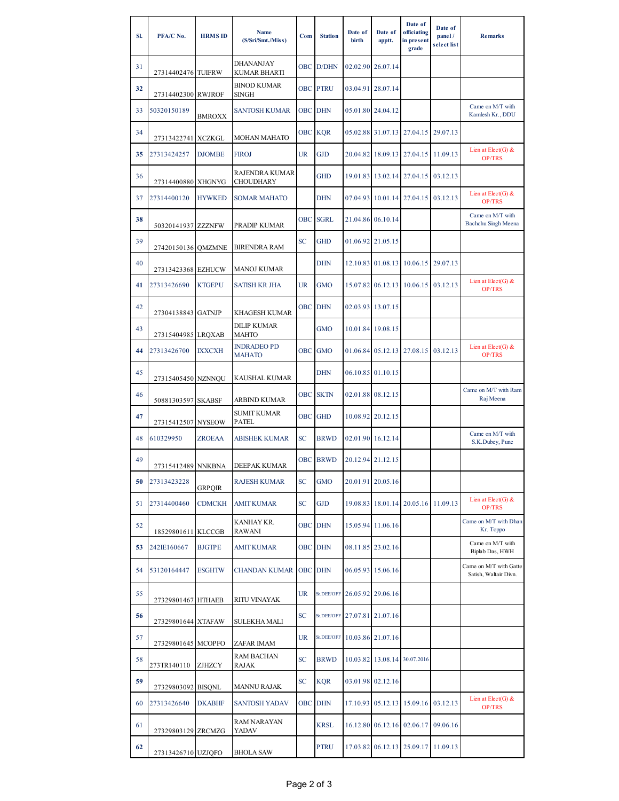| SI. | PFA/C No.          | <b>HRMS ID</b> | Name<br>(S/Sri/Smt./Miss)           | Com        | <b>Station</b>  | Date of<br>birth | Date of<br>apptt.            | Date of<br>officiating<br>in present<br>grade | Date of<br>panel/<br>select list | <b>Remarks</b>                                  |
|-----|--------------------|----------------|-------------------------------------|------------|-----------------|------------------|------------------------------|-----------------------------------------------|----------------------------------|-------------------------------------------------|
| 31  | 27314402476 TUIFRW |                | DHANANJAY<br>KUMAR BHARTI           |            | OBC D/DHN       |                  | 02.02.90 26.07.14            |                                               |                                  |                                                 |
| 32  | 27314402300 RWJROF |                | <b>BINOD KUMAR</b><br><b>SINGH</b>  | <b>OBC</b> | <b>PTRU</b>     |                  | 03.04.91 28.07.14            |                                               |                                  |                                                 |
| 33  | 50320150189        | BMROXX         | <b>SANTOSH KUMAR</b>                | OBC .      | <b>DHN</b>      |                  | 05.01.80 24.04.12            |                                               |                                  | Came on M/T with<br>Kamlesh Kr., DDU            |
| 34  | 27313422741 XCZKGL |                | MOHAN MAHATO                        | <b>OBC</b> | <b>KQR</b>      |                  | 05.02.88 31.07.13            | 27.04.15                                      | 29.07.13                         |                                                 |
| 35  | 27313424257        | <b>DJOMBE</b>  | <b>FIROJ</b>                        | <b>UR</b>  | <b>GJD</b>      |                  |                              | 20.04.82 18.09.13 27.04.15                    | 11.09.13                         | Lien at $Elect(G)$ &<br>OP/TRS                  |
| 36  | 27314400880 XHGNYG |                | RAJENDRA KUMAR<br><b>CHOUDHARY</b>  |            | <b>GHD</b>      |                  |                              | 19.01.83 13.02.14 27.04.15                    | 03.12.13                         |                                                 |
| 37  | 27314400120        | <b>HYWKED</b>  | <b>SOMAR MAHATO</b>                 |            | <b>DHN</b>      |                  | 07.04.93 10.01.14 27.04.15   |                                               | 03.12.13                         | Lien at $Elect(G)$ &<br>OP/TRS                  |
| 38  | 50320141937 ZZZNFW |                | PRADIP KUMAR                        | OBC.       | <b>SGRL</b>     |                  | 21.04.86 06.10.14            |                                               |                                  | Came on M/T with<br><b>Bachchu Singh Meena</b>  |
| 39  | 27420150136 OMZMNE |                | <b>BIRENDRA RAM</b>                 | <b>SC</b>  | <b>GHD</b>      |                  | 01.06.92 21.05.15            |                                               |                                  |                                                 |
| 40  | 27313423368 EZHUCW |                | MANOJ KUMAR                         |            | <b>DHN</b>      |                  | 12.10.83 01.08.13            | 10.06.15                                      | 29.07.13                         |                                                 |
| 41  | 27313426690        | <b>KTGEPU</b>  | <b>SATISH KR JHA</b>                | UR         | <b>GMO</b>      |                  |                              | 15.07.82 06.12.13 10.06.15                    | 03.12.13                         | Lien at $Elet(G)$ &<br><b>OP/TRS</b>            |
| 42  | 27304138843 GATNJP |                | KHAGESH KUMAR                       | <b>OBC</b> | <b>DHN</b>      |                  | 02.03.93 13.07.15            |                                               |                                  |                                                 |
| 43  | 27315404985 LRQXAB |                | <b>DILIP KUMAR</b><br>MAHTO         |            | <b>GMO</b>      |                  | 10.01.84 19.08.15            |                                               |                                  |                                                 |
| 44  | 27313426700        | <b>IXXCXH</b>  | <b>INDRADEO PD</b><br><b>MAHATO</b> | OBC.       | <b>GMO</b>      |                  | 01.06.84 05.12.13            | 27.08.15                                      | 03.12.13                         | Lien at $Elect(G)$ &<br><b>OP/TRS</b>           |
| 45  | 27315405450 NZNNQU |                | KAUSHAL KUMAR                       |            | <b>DHN</b>      |                  | 06.10.85 01.10.15            |                                               |                                  |                                                 |
| 46  | 50881303597 SKABSF |                | ARBIND KUMAR                        |            | <b>OBC SKTN</b> |                  | 02.01.88 08.12.15            |                                               |                                  | Came on M/T with Ram<br>Raj Meena               |
| 47  | 27315412507 NYSEOW |                | <b>SUMIT KUMAR</b><br><b>PATEL</b>  | <b>OBC</b> | <b>GHD</b>      |                  | 10.08.92 20.12.15            |                                               |                                  |                                                 |
| 48  | 610329950          | <b>ZROEAA</b>  | <b>ABISHEK KUMAR</b>                | <b>SC</b>  | <b>BRWD</b>     |                  | 02.01.90 16.12.14            |                                               |                                  | Came on M/T with<br>S.K.Dubey, Pune             |
| 49  | 27315412489 NNKBNA |                | DEEPAK KUMAR                        | <b>OBC</b> | <b>BRWD</b>     |                  | 20.12.94 21.12.15            |                                               |                                  |                                                 |
| 50  | 27313423228        | GRPQIR         | <b>RAJESH KUMAR</b>                 | <b>SC</b>  | <b>GMO</b>      |                  | 20.01.91 20.05.16            |                                               |                                  |                                                 |
| 51  | 27314400460        | <b>CDMCKH</b>  | <b>AMIT KUMAR</b>                   | <b>SC</b>  | <b>GJD</b>      |                  |                              | 19.08.83 18.01.14 20.05.16                    | 11.09.13                         | Lien at $Elet(G)$ &<br><b>OP/TRS</b>            |
| 52  | 18529801611 KLCCGB |                | KANHAY KR.<br>RAWANI                | <b>OBC</b> | <b>DHN</b>      |                  | 15.05.94 11.06.16            |                                               |                                  | Came on M/T with Dhan<br>Kr. Toppo              |
| 53  | 242IE160667        | <b>BJGTPE</b>  | AMIT KUMAR                          | <b>OBC</b> | <b>DHN</b>      |                  | 08.11.85 23.02.16            |                                               |                                  | Came on M/T with<br>Biplab Das, HWH             |
| 54  | 53120164447        | <b>ESGHTW</b>  | <b>CHANDAN KUMAR</b>                |            | <b>OBC</b> DHN  |                  | 06.05.93 15.06.16            |                                               |                                  | Came on M/T with Gatte<br>Satish, Waltair Divn. |
| 55  | 27329801467 HTHAEB |                | RITU VINAYAK                        | UR         | Sr.DEE/OFF      |                  | 26.05.92 29.06.16            |                                               |                                  |                                                 |
| 56  | 27329801644 XTAFAW |                | <b>SULEKHA MALI</b>                 | <b>SC</b>  |                 |                  | Sr.DEE/OFF 27.07.81 21.07.16 |                                               |                                  |                                                 |
| 57  | 27329801645 MCOPFO |                | ZAFAR IMAM                          | UR         |                 |                  | Sr.DEE/OFF 10.03.86 21.07.16 |                                               |                                  |                                                 |
| 58  | 273TR140110        | ZJHZCY         | <b>RAM BACHAN</b><br>RAJAK          | <b>SC</b>  | <b>BRWD</b>     |                  | 10.03.82 13.08.14            | 30.07.2016                                    |                                  |                                                 |
| 59  | 27329803092        | <b>BISQNL</b>  | MANNU RAJAK                         | <b>SC</b>  | <b>KQR</b>      |                  | 03.01.98 02.12.16            |                                               |                                  |                                                 |
| 60  | 27313426640        | <b>DKABHF</b>  | <b>SANTOSH YADAV</b>                | <b>OBC</b> | <b>DHN</b>      |                  |                              | 17.10.93 05.12.13 15.09.16                    | 03.12.13                         | Lien at $Elet(G)$ &<br>OP/TRS                   |
| 61  | 27329803129 ZRCMZG |                | RAM NARAYAN<br>YADAV                |            | <b>KRSL</b>     |                  |                              | 16.12.80 06.12.16 02.06.17                    | 09.06.16                         |                                                 |
| 62  | 27313426710 UZJQFO |                | BHOLA SAW                           |            | <b>PTRU</b>     |                  |                              | 17.03.82 06.12.13 25.09.17                    | 11.09.13                         |                                                 |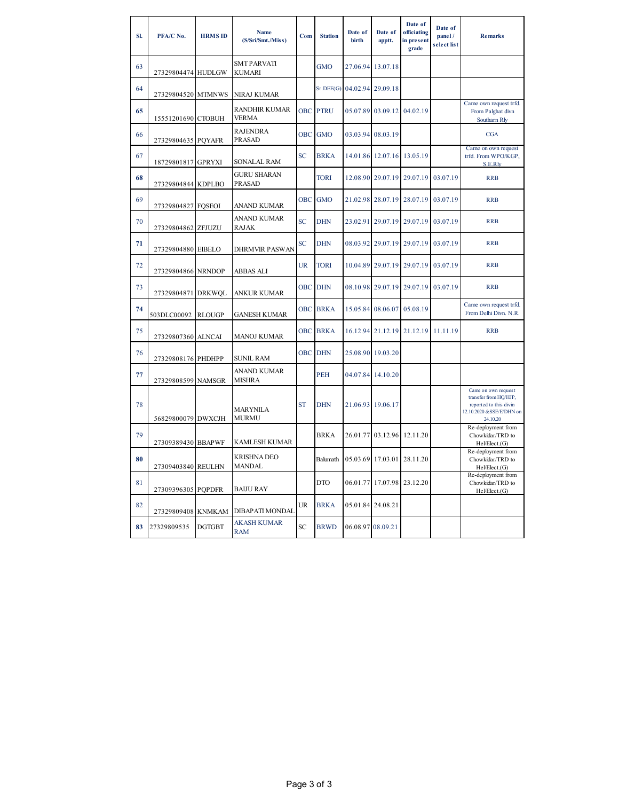| SI. | PFA/C No.          | <b>HRMS ID</b> | <b>Name</b><br>(S/Sri/Smt./Miss)     | Com        | <b>Station</b>  | Date of<br>birth            | Date of<br>apptt.          | Date of<br>officiating<br>in present<br>grade | Date of<br>panel/<br>select list | <b>Remarks</b>                                                                                                 |
|-----|--------------------|----------------|--------------------------------------|------------|-----------------|-----------------------------|----------------------------|-----------------------------------------------|----------------------------------|----------------------------------------------------------------------------------------------------------------|
| 63  | 27329804474 HUDLGW |                | <b>SMT PARVATI</b><br>KUMARI         |            | <b>GMO</b>      | 27.06.94                    | 13.07.18                   |                                               |                                  |                                                                                                                |
| 64  | 27329804520 MTMNWS |                | NIRAJ KUMAR                          |            |                 | Sr.DEE(G) 04.02.94 29.09.18 |                            |                                               |                                  |                                                                                                                |
| 65  | 15551201690 CTOBUH |                | <b>RANDHIR KUMAR</b><br><b>VERMA</b> |            | <b>OBC PTRU</b> |                             | 05.07.89 03.09.12 04.02.19 |                                               |                                  | Came own request trfd.<br>From Palghat divn<br>Southarn Rly                                                    |
| 66  | 27329804635 PQYAFR |                | <b>RAJENDRA</b><br><b>PRASAD</b>     | <b>OBC</b> | <b>GMO</b>      |                             | 03.03.94 08.03.19          |                                               |                                  | <b>CGA</b>                                                                                                     |
| 67  | 18729801817 GPRYXI |                | SONALAL RAM                          | <b>SC</b>  | <b>BRKA</b>     |                             | 14.01.86 12.07.16 13.05.19 |                                               |                                  | Came on own request<br>trfd. From WPO/KGP,<br>S.E.Rly                                                          |
| 68  | 27329804844 KDPLBO |                | <b>GURU SHARAN</b><br>PRASAD         |            | <b>TORI</b>     |                             |                            | 12.08.90 29.07.19 29.07.19                    | 03.07.19                         | <b>RRB</b>                                                                                                     |
| 69  | 27329804827 FQSEOI |                | ANAND KUMAR                          | <b>OBC</b> | <b>GMO</b>      |                             | 21.02.98 28.07.19          | 28.07.19                                      | 03.07.19                         | <b>RRB</b>                                                                                                     |
| 70  | 27329804862 ZFJUZU |                | ANAND KUMAR<br>RAJAK                 | <b>SC</b>  | <b>DHN</b>      |                             |                            | 23.02.91 29.07.19 29.07.19                    | 03.07.19                         | <b>RRB</b>                                                                                                     |
| 71  | 27329804880 EIBELO |                | <b>DHRMVIR PASWAN</b>                | SC         | <b>DHN</b>      |                             | 08.03.92 29.07.19 29.07.19 |                                               | 03.07.19                         | <b>RRB</b>                                                                                                     |
| 72  | 27329804866 NRNDOP |                | ABBAS ALI                            | <b>UR</b>  | <b>TORI</b>     |                             |                            | 10.04.89 29.07.19 29.07.19                    | 03.07.19                         | <b>RRB</b>                                                                                                     |
| 73  | 27329804871 DRKWQL |                | ANKUR KUMAR                          | <b>OBC</b> | <b>DHN</b>      |                             |                            | 08.10.98 29.07.19 29.07.19                    | 03.07.19                         | <b>RRB</b>                                                                                                     |
| 74  | 503DLC00092        | <b>RLOUGP</b>  | <b>GANESH KUMAR</b>                  | <b>OBC</b> | <b>BRKA</b>     |                             | 15.05.84 08.06.07          | 05.08.19                                      |                                  | Came own request trfd.<br>From Delhi Divn. N.R.                                                                |
| 75  | 27329807360 ALNCAI |                | <b>MANOJ KUMAR</b>                   | <b>OBC</b> | <b>BRKA</b>     |                             |                            | 16.12.94 21.12.19 21.12.19                    | 11.11.19                         | <b>RRB</b>                                                                                                     |
| 76  | 27329808176 PHDHPP |                | <b>SUNIL RAM</b>                     | <b>OBC</b> | <b>DHN</b>      | 25.08.90                    | 19.03.20                   |                                               |                                  |                                                                                                                |
| 77  | 27329808599        | <b>NAMSGR</b>  | ANAND KUMAR<br><b>MISHRA</b>         |            | PEH             | 04.07.84                    | 14.10.20                   |                                               |                                  |                                                                                                                |
| 78  | 56829800079 DWXCJH |                | <b>MARYNILA</b><br><b>MURMU</b>      | <b>ST</b>  | <b>DHN</b>      | 21.06.93                    | 19.06.17                   |                                               |                                  | Came on own request<br>transfer from HQ/HJP,<br>reported to this divin<br>12.10.2020 &SSE/E/DHN on<br>24.10.20 |
| 79  | 27309389430 BBAPWF |                | KAMLESH KUMAR                        |            | <b>BRKA</b>     |                             | 26.01.77 03.12.96          | 12.11.20                                      |                                  | Re-deployment from<br>Chowkidar/TRD to<br>Hel/Elect.(G)                                                        |
| 80  | 27309403840 REULHN |                | <b>KRISHNA DEO</b><br><b>MANDAL</b>  |            | Balumath        |                             | 05.03.69 17.03.01 28.11.20 |                                               |                                  | Re-deployment from<br>Chowkidar/TRD to<br>Hel/Elect.(G)                                                        |
| 81  | 27309396305 PQPDFR |                | <b>BAIJU RAY</b>                     |            | <b>DTO</b>      |                             | 06.01.77 17.07.98 23.12.20 |                                               |                                  | Re-deployment from<br>Chowkidar/TRD to<br>Hel/Elect.(G)                                                        |
| 82  |                    |                | 27329809408 KNMKAM DIBAPATI MONDAL   | UR         | <b>BRKA</b>     |                             | 05.01.84 24.08.21          |                                               |                                  |                                                                                                                |
| 83  | 27329809535        | <b>DGTGBT</b>  | <b>AKASH KUMAR</b><br><b>RAM</b>     | SC         | <b>BRWD</b>     | 06.08.97 08.09.21           |                            |                                               |                                  |                                                                                                                |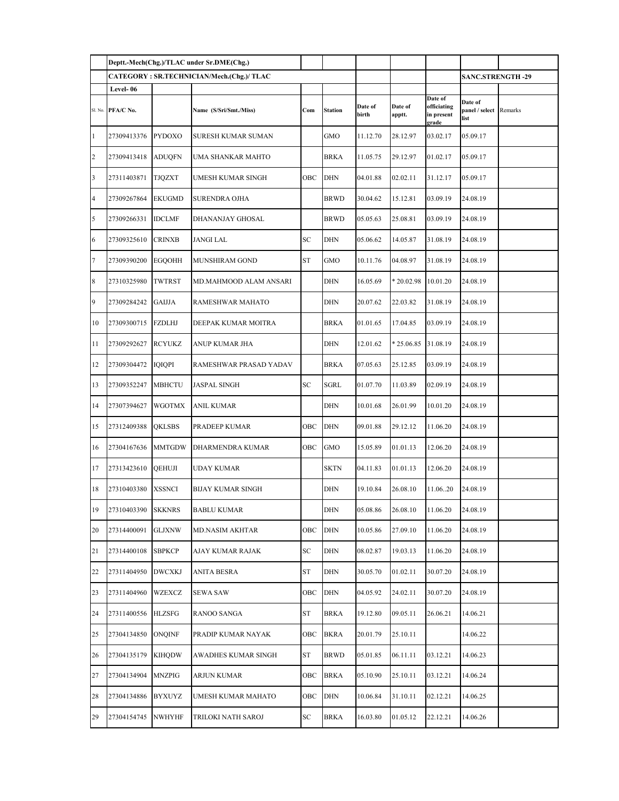|    |                               |               | Deptt.-Mech(Chg.)/TLAC under Sr.DME(Chg.) |            |             |                  |                         |                                               |                                   |         |
|----|-------------------------------|---------------|-------------------------------------------|------------|-------------|------------------|-------------------------|-----------------------------------------------|-----------------------------------|---------|
|    |                               |               | CATEGORY: SR.TECHNICIAN/Mech.(Chg.)/ TLAC |            |             |                  | <b>SANC.STRENGTH-29</b> |                                               |                                   |         |
|    | Level-06<br>Sl. No. PFA/C No. |               | Name (S/Sri/Smt./Miss)                    | Com        | Station     | Date of<br>birth | Date of<br>apptt.       | Date of<br>officiating<br>in present<br>grade | Date of<br>panel / select<br>list | Remarks |
| 1  | 27309413376                   | PYDOXO        | SURESH KUMAR SUMAN                        |            | GMO         | 11.12.70         | 28.12.97                | 03.02.17                                      | 05.09.17                          |         |
| 2  | 27309413418                   | <b>ADUQFN</b> | UMA SHANKAR MAHTO                         |            | BRKA        | 11.05.75         | 29.12.97                | 01.02.17                                      | 05.09.17                          |         |
| 3  | 27311403871                   | <b>TJQZXT</b> | UMESH KUMAR SINGH                         | OBC        | <b>DHN</b>  | 04.01.88         | 02.02.11                | 31.12.17                                      | 05.09.17                          |         |
| 4  | 27309267864                   | <b>EKUGMD</b> | SURENDRA OJHA                             |            | <b>BRWD</b> | 30.04.62         | 15.12.81                | 03.09.19                                      | 24.08.19                          |         |
| 5  | 27309266331                   | <b>IDCLMF</b> | DHANANJAY GHOSAL                          |            | BRWD        | 05.05.63         | 25.08.81                | 03.09.19                                      | 24.08.19                          |         |
| 6  | 27309325610                   | <b>CRINXB</b> | JANGI LAL                                 | SC         | DHN         | 05.06.62         | 14.05.87                | 31.08.19                                      | 24.08.19                          |         |
| 7  | 27309390200                   | <b>EGOOHH</b> | MUNSHIRAM GOND                            | ST         | GMO         | 10.11.76         | 04.08.97                | 31.08.19                                      | 24.08.19                          |         |
| 8  | 27310325980                   | TWTRST        | MD.MAHMOOD ALAM ANSARI                    |            | DHN         | 16.05.69         | $*20.02.98$             | 10.01.20                                      | 24.08.19                          |         |
| 9  | 27309284242                   | <b>GAIJJA</b> | RAMESHWAR MAHATO                          |            | DHN         | 20.07.62         | 22.03.82                | 31.08.19                                      | 24.08.19                          |         |
| 10 | 27309300715                   | <b>FZDLHJ</b> | DEEPAK KUMAR MOITRA                       |            | BRKA        | 01.01.65         | 17.04.85                | 03.09.19                                      | 24.08.19                          |         |
| 11 | 27309292627                   | <b>RCYUKZ</b> | ANUP KUMAR JHA                            |            | DHN         | 12.01.62         | $*25.06.85$             | 31.08.19                                      | 24.08.19                          |         |
| 12 | 27309304472                   | IQIQPI        | RAMESHWAR PRASAD YADAV                    |            | BRKA        | 07.05.63         | 25.12.85                | 03.09.19                                      | 24.08.19                          |         |
| 13 | 27309352247                   | <b>MBHCTU</b> | <b>JASPAL SINGH</b>                       | SC         | SGRL        | 01.07.70         | 11.03.89                | 02.09.19                                      | 24.08.19                          |         |
| 14 | 27307394627                   | WGOTMX        | ANIL KUMAR                                |            | DHN         | 10.01.68         | 26.01.99                | 10.01.20                                      | 24.08.19                          |         |
| 15 | 27312409388                   | QKLSBS        | PRADEEP KUMAR                             | OBC        | <b>DHN</b>  | 09.01.88         | 29.12.12                | 11.06.20                                      | 24.08.19                          |         |
| 16 | 27304167636                   | <b>MMTGDW</b> | DHARMENDRA KUMAR                          | OBC        | GMO         | 15.05.89         | 01.01.13                | 12.06.20                                      | 24.08.19                          |         |
| 17 | 27313423610                   | QEHUJI        | UDAY KUMAR                                |            | SKTN        | 04.11.83         | 01.01.13                | 12.06.20                                      | 24.08.19                          |         |
| 18 | 27310403380                   | XSSNCI        | BIJAY KUMAR SINGH                         |            | DHN         | 19.10.84         | 26.08.10                | 11.0620                                       | 24.08.19                          |         |
| 19 | 27310403390 SKKNRS            |               | BABLU KUMAR                               |            | DHN         | 05.08.86         | 26.08.10                | 11.06.20                                      | 24.08.19                          |         |
| 20 | 27314400091                   | <b>GLJXNW</b> | <b>MD.NASIM AKHTAR</b>                    | OBC        | DHN         | 10.05.86         | 27.09.10                | 11.06.20                                      | 24.08.19                          |         |
| 21 | 27314400108                   | <b>SBPKCP</b> | AJAY KUMAR RAJAK                          | SC         | DHN         | 08.02.87         | 19.03.13                | 11.06.20                                      | 24.08.19                          |         |
| 22 | 27311404950                   | <b>DWCXKJ</b> | ANITA BESRA                               | ${\rm ST}$ | DHN         | 30.05.70         | 01.02.11                | 30.07.20                                      | 24.08.19                          |         |
| 23 | 27311404960                   | WZEXCZ        | <b>SEWA SAW</b>                           | OBC        | DHN         | 04.05.92         | 24.02.11                | 30.07.20                                      | 24.08.19                          |         |
| 24 | 27311400556                   | HLZSFG        | RANOO SANGA                               | ST         | BRKA        | 19.12.80         | 09.05.11                | 26.06.21                                      | 14.06.21                          |         |
| 25 | 27304134850                   | <b>ONQINF</b> | PRADIP KUMAR NAYAK                        | OBC        | <b>BKRA</b> | 20.01.79         | 25.10.11                |                                               | 14.06.22                          |         |
| 26 | 27304135179                   | <b>KIHQDW</b> | AWADHES KUMAR SINGH                       | ST         | BRWD        | 05.01.85         | 06.11.11                | 03.12.21                                      | 14.06.23                          |         |
| 27 | 27304134904                   | MNZPIG        | ARJUN KUMAR                               | ОВС        | BRKA        | 05.10.90         | 25.10.11                | 03.12.21                                      | 14.06.24                          |         |
| 28 | 27304134886                   | BYXUYZ        | UMESH KUMAR MAHATO                        | OBC        | DHN         | 10.06.84         | 31.10.11                | 02.12.21                                      | 14.06.25                          |         |
| 29 | 27304154745                   | NWHYHF        | TRILOKI NATH SAROJ                        | ${\rm SC}$ | BRKA        | 16.03.80         | 01.05.12                | 22.12.21                                      | 14.06.26                          |         |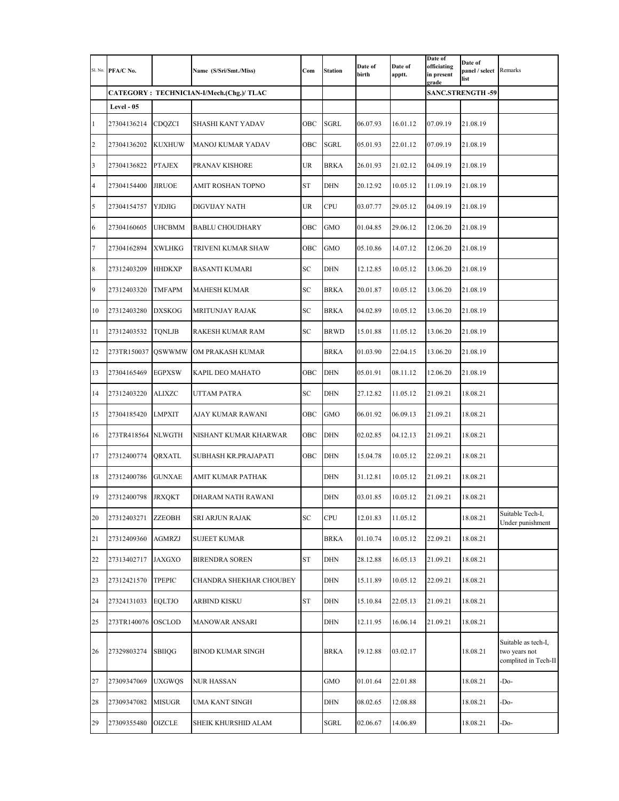| Sl. No.        | PFA/C No.          |               | Name (S/Sri/Smt./Miss)                    | Com       | <b>Station</b> | Date of<br>birth | Date of<br>apptt. | Date of<br>officiating<br>in present<br>grade | Date of<br>panel / select<br>list | Remarks                                                      |
|----------------|--------------------|---------------|-------------------------------------------|-----------|----------------|------------------|-------------------|-----------------------------------------------|-----------------------------------|--------------------------------------------------------------|
|                |                    |               | CATEGORY : TECHNICIAN-I/Mech.(Chg.)/ TLAC |           |                |                  |                   |                                               | <b>SANC.STRENGTH-59</b>           |                                                              |
|                | Level - 05         |               |                                           |           |                |                  |                   |                                               |                                   |                                                              |
| $\mathbf{1}$   | 27304136214        | CDQZCI        | SHASHI KANT YADAV                         | OBC       | SGRL           | 06.07.93         | 16.01.12          | 07.09.19                                      | 21.08.19                          |                                                              |
| $\overline{c}$ | 27304136202        | KUXHUW        | MANOJ KUMAR YADAV                         | OBC       | SGRL           | 05.01.93         | 22.01.12          | 07.09.19                                      | 21.08.19                          |                                                              |
| 3              | 27304136822        | <b>PTAJEX</b> | PRANAV KISHORE                            | <b>UR</b> | <b>BRKA</b>    | 26.01.93         | 21.02.12          | 04.09.19                                      | 21.08.19                          |                                                              |
| 4              | 27304154400        | <b>JIRUOE</b> | AMIT ROSHAN TOPNO                         | ST        | <b>DHN</b>     | 20.12.92         | 10.05.12          | 11.09.19                                      | 21.08.19                          |                                                              |
| 5              | 27304154757        | YJDJIG        | DIGVIJAY NATH                             | UR        | CPU            | 03.07.77         | 29.05.12          | 04.09.19                                      | 21.08.19                          |                                                              |
| 6              | 27304160605        | UHCBMM        | <b>BABLU CHOUDHARY</b>                    | OBC       | GMO            | 01.04.85         | 29.06.12          | 12.06.20                                      | 21.08.19                          |                                                              |
| 7              | 27304162894        | <b>XWLHKG</b> | TRIVENI KUMAR SHAW                        | OBC       | <b>GMO</b>     | 05.10.86         | 14.07.12          | 12.06.20                                      | 21.08.19                          |                                                              |
| $\,8\,$        | 27312403209        | <b>HHDKXP</b> | BASANTI KUMARI                            | SC        | DHN            | 12.12.85         | 10.05.12          | 13.06.20                                      | 21.08.19                          |                                                              |
| 9              | 27312403320        | <b>TMFAPM</b> | MAHESH KUMAR                              | SC        | <b>BRKA</b>    | 20.01.87         | 10.05.12          | 13.06.20                                      | 21.08.19                          |                                                              |
| 10             | 27312403280        | <b>DXSKOG</b> | MRITUNJAY RAJAK                           | SC        | <b>BRKA</b>    | 04.02.89         | 10.05.12          | 13.06.20                                      | 21.08.19                          |                                                              |
| 11             | 27312403532        | <b>TQNLJB</b> | RAKESH KUMAR RAM                          | SC        | <b>BRWD</b>    | 15.01.88         | 11.05.12          | 13.06.20                                      | 21.08.19                          |                                                              |
| 12             | 273TR150037 QSWWMW |               | OM PRAKASH KUMAR                          |           | BRKA           | 01.03.90         | 22.04.15          | 13.06.20                                      | 21.08.19                          |                                                              |
| 13             | 27304165469        | <b>EGPXSW</b> | KAPIL DEO MAHATO                          | ОВС       | <b>DHN</b>     | 05.01.91         | 08.11.12          | 12.06.20                                      | 21.08.19                          |                                                              |
| 14             | 27312403220        | <b>ALIXZC</b> | UTTAM PATRA                               | SC        | <b>DHN</b>     | 27.12.82         | 11.05.12          | 21.09.21                                      | 18.08.21                          |                                                              |
| 15             | 27304185420        | <b>LMPXIT</b> | AJAY KUMAR RAWANI                         | OBC       | <b>GMO</b>     | 06.01.92         | 06.09.13          | 21.09.21                                      | 18.08.21                          |                                                              |
| 16             | 273TR418564 NLWGTH |               | NISHANT KUMAR KHARWAR                     | OBC       | DHN            | 02.02.85         | 04.12.13          | 21.09.21                                      | 18.08.21                          |                                                              |
| 17             | 27312400774        | QRXATL        | SUBHASH KR.PRAJAPATI                      | ОВС       | DHN            | 15.04.78         | 10.05.12          | 22.09.21                                      | 18.08.21                          |                                                              |
| 18             | 27312400786        | <b>GUNXAE</b> | AMIT KUMAR PATHAK                         |           | DHN            | 31.12.81         | 10.05.12          | 21.09.21                                      | 18.08.21                          |                                                              |
| 19             | 27312400798        | <b>JRXOKT</b> | DHARAM NATH RAWANI                        |           | DHN            | 03.01.85         | 10.05.12          | 21.09.21                                      | 18.08.21                          |                                                              |
| 20             | 27312403271        | <b>ZZEOBH</b> | SRI ARJUN RAJAK                           | <b>SC</b> | CPU            | 12.01.83         | 11.05.12          |                                               | 18.08.21                          | Suitable Tech-I,<br>Under punishment                         |
| 21             | 27312409360        | <b>AGMRZJ</b> | <b>SUJEET KUMAR</b>                       |           | <b>BRKA</b>    | 01.10.74         | 10.05.12          | 22.09.21                                      | 18.08.21                          |                                                              |
| 22             | 27313402717        | <b>JAXGXO</b> | <b>BIRENDRA SOREN</b>                     | ST        | DHN            | 28.12.88         | 16.05.13          | 21.09.21                                      | 18.08.21                          |                                                              |
| 23             | 27312421570        | <b>TPEPIC</b> | CHANDRA SHEKHAR CHOUBEY                   |           | DHN            | 15.11.89         | 10.05.12          | 22.09.21                                      | 18.08.21                          |                                                              |
| 24             | 27324131033        | <b>EQLTJO</b> | ARBIND KISKU                              | ST        | DHN            | 15.10.84         | 22.05.13          | 21.09.21                                      | 18.08.21                          |                                                              |
| 25             | 273TR140076 OSCLOD |               | <b>MANOWAR ANSARI</b>                     |           | <b>DHN</b>     | 12.11.95         | 16.06.14          | 21.09.21                                      | 18.08.21                          |                                                              |
| 26             | 27329803274        | SBIIQG        | BINOD KUMAR SINGH                         |           | <b>BRKA</b>    | 19.12.88         | 03.02.17          |                                               | 18.08.21                          | Suitable as tech-I,<br>two years not<br>complited in Tech-II |
| 27             | 27309347069        | UXGWQS        | <b>NUR HASSAN</b>                         |           | GMO            | 01.01.64         | 22.01.88          |                                               | 18.08.21                          | -Do-                                                         |
| 28             | 27309347082        | <b>MISUGR</b> | UMA KANT SINGH                            |           | DHN            | 08.02.65         | 12.08.88          |                                               | 18.08.21                          | -Do-                                                         |
| 29             | 27309355480        | OIZCLE        | SHEIK KHURSHID ALAM                       |           | SGRL           | 02.06.67         | 14.06.89          |                                               | 18.08.21                          | -Do-                                                         |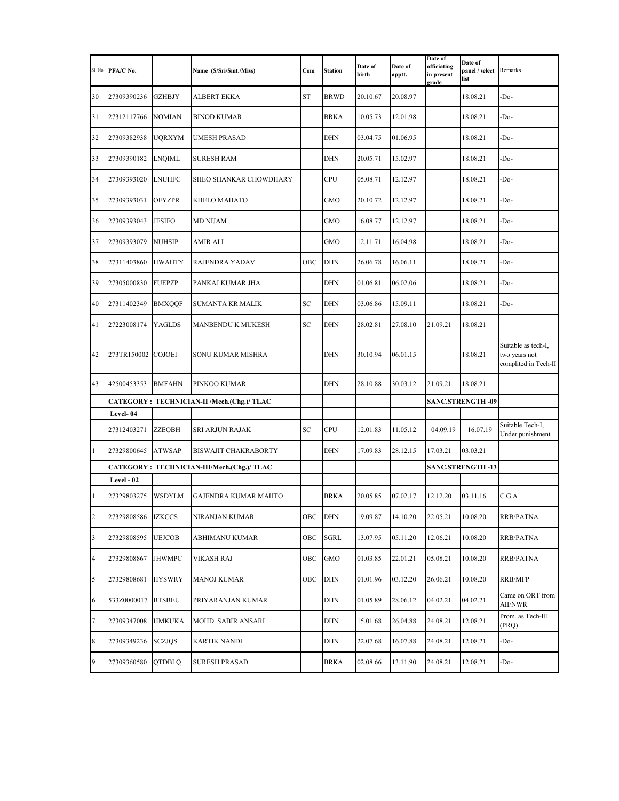| Sl. No.        | PFA/C No.   |               | Name (S/Sri/Smt./Miss)                      | Com       | <b>Station</b> | Date of<br>birth | Date of<br>apptt. | Date of<br>Date of<br>officiating<br>panel / select<br>in present<br>list<br>grade |                         | Remarks                                                      |
|----------------|-------------|---------------|---------------------------------------------|-----------|----------------|------------------|-------------------|------------------------------------------------------------------------------------|-------------------------|--------------------------------------------------------------|
| 30             | 27309390236 | <b>GZHBJY</b> | ALBERT EKKA                                 | <b>ST</b> | BRWD           | 20.10.67         | 20.08.97          |                                                                                    | 18.08.21                | -Do-                                                         |
| 31             | 27312117766 | <b>NOMIAN</b> | <b>BINOD KUMAR</b>                          |           | <b>BRKA</b>    | 10.05.73         | 12.01.98          |                                                                                    | 18.08.21                | -Do-                                                         |
| 32             | 27309382938 | UQRXYM        | UMESH PRASAD                                |           | DHN            | 03.04.75         | 01.06.95          |                                                                                    | 18.08.21                | -Do-                                                         |
| 33             | 27309390182 | <b>LNQIML</b> | <b>SURESH RAM</b>                           |           | DHN            | 20.05.71         | 15.02.97          |                                                                                    | 18.08.21                | -Do-                                                         |
| 34             | 27309393020 | <b>LNUHFC</b> | SHEO SHANKAR CHOWDHARY                      |           | CPU            | 05.08.71         | 12.12.97          |                                                                                    | 18.08.21                | -Do-                                                         |
| 35             | 27309393031 | <b>OFYZPR</b> | KHELO MAHATO                                |           | GMO            | 20.10.72         | 12.12.97          |                                                                                    | 18.08.21                | -Do-                                                         |
| 36             | 27309393043 | JESIFO        | <b>MD NIJAM</b>                             |           | <b>GMO</b>     | 16.08.77         | 12.12.97          |                                                                                    | 18.08.21                | -Do-                                                         |
| 37             | 27309393079 | NUHSIP        | AMIR ALI                                    |           | GMO            | 12.11.71         | 16.04.98          |                                                                                    | 18.08.21                | -Do-                                                         |
| 38             | 27311403860 | HWAHTY        | RAJENDRA YADAV                              | OBC       | <b>DHN</b>     | 26.06.78         | 16.06.11          |                                                                                    | 18.08.21                | -Do-                                                         |
| 39             | 27305000830 | <b>FUEPZP</b> | PANKAJ KUMAR JHA                            |           | DHN            | 01.06.81         | 06.02.06          |                                                                                    | 18.08.21                | -Do-                                                         |
| 40             | 27311402349 | <b>BMXQQF</b> | SUMANTA KR.MALIK                            | SC        | <b>DHN</b>     | 03.06.86         | 15.09.11          | 18.08.21                                                                           |                         | -Do-                                                         |
| 41             | 27223008174 | <b>YAGLDS</b> | MANBENDU K MUKESH                           | SC        | <b>DHN</b>     | 28.02.81         | 27.08.10          | 21.09.21                                                                           | 18.08.21                |                                                              |
| 42             | 273TR150002 | <b>COJOEI</b> | SONU KUMAR MISHRA                           |           | <b>DHN</b>     | 30.10.94         | 06.01.15          |                                                                                    | 18.08.21                | Suitable as tech-I,<br>two years not<br>complited in Tech-II |
| 43             | 42500453353 | <b>BMFAHN</b> | PINKOO KUMAR                                |           | <b>DHN</b>     | 28.10.88         | 30.03.12          | 21.09.21                                                                           | 18.08.21                |                                                              |
|                |             |               | CATEGORY: TECHNICIAN-II /Mech.(Chg.)/ TLAC  |           |                |                  |                   |                                                                                    | <b>SANC.STRENGTH-09</b> |                                                              |
|                | Level-04    |               |                                             |           |                |                  |                   |                                                                                    |                         | Suitable Tech-I,                                             |
|                | 27312403271 | ZZEOBH        | SRI ARJUN RAJAK                             | SC        | CPU            | 12.01.83         | 11.05.12          | 04.09.19                                                                           | 16.07.19                | Under punishment                                             |
| $\mathbf{1}$   | 27329800645 | <b>ATWSAP</b> | <b>BISWAJIT CHAKRABORTY</b>                 |           | <b>DHN</b>     | 17.09.83         | 28.12.15          | 17.03.21                                                                           | 03.03.21                |                                                              |
|                | Level - 02  |               | CATEGORY : TECHNICIAN-III/Mech.(Chg.)/ TLAC |           |                |                  |                   |                                                                                    | <b>SANC.STRENGTH-13</b> |                                                              |
| $\mathbf{1}$   | 27329803275 | WSDYLM        | <b>GAJENDRA KUMAR MAHTO</b>                 |           | <b>BRKA</b>    | 20.05.85         | 07.02.17          | 12.12.20                                                                           | 03.11.16                | C.G.A                                                        |
| $\overline{c}$ | 27329808586 | IZKCCS        | NIRANJAN KUMAR                              | OBC       | <b>DHN</b>     | 19.09.87         | 14.10.20          | 22.05.21                                                                           | 10.08.20                | RRB/PATNA                                                    |
| 3              | 27329808595 | <b>UEJCOB</b> | ABHIMANU KUMAR                              | OBC       | <b>SGRL</b>    | 13.07.95         | 05.11.20          | 12.06.21                                                                           | 10.08.20                | RRB/PATNA                                                    |
| 4              | 27329808867 | <b>IHWMPC</b> | VIKASH RAJ                                  | OBC       | GMO            | 01.03.85         | 22.01.21          | 05.08.21                                                                           | 10.08.20                | RRB/PATNA                                                    |
| 5              | 27329808681 | <b>HYSWRY</b> | <b>MANOJ KUMAR</b>                          | OBC       | <b>DHN</b>     | 01.01.96         | 03.12.20          | 26.06.21                                                                           | 10.08.20                | RRB/MFP                                                      |
| 6              | 533Z0000017 | <b>BTSBEU</b> | PRIYARANJAN KUMAR                           |           | DHN            | 01.05.89         | 28.06.12          | 04.02.21                                                                           | 04.02.21                | Came on ORT from<br>AII/NWR                                  |
| 7              | 27309347008 | <b>HMKUKA</b> | MOHD. SABIR ANSARI                          |           | DHN            | 15.01.68         | 26.04.88          | 24.08.21                                                                           | 12.08.21                | Prom. as Tech-III<br>(PRQ)                                   |
| 8              | 27309349236 | SCZJQS        | KARTIK NANDI                                |           | DHN            | 22.07.68         | 16.07.88          | 24.08.21                                                                           | 12.08.21                | -Do-                                                         |
| 9              | 27309360580 | QTDBLQ        | <b>SURESH PRASAD</b>                        |           | BRKA           | 02.08.66         | 13.11.90          | 24.08.21                                                                           | 12.08.21                | -Do-                                                         |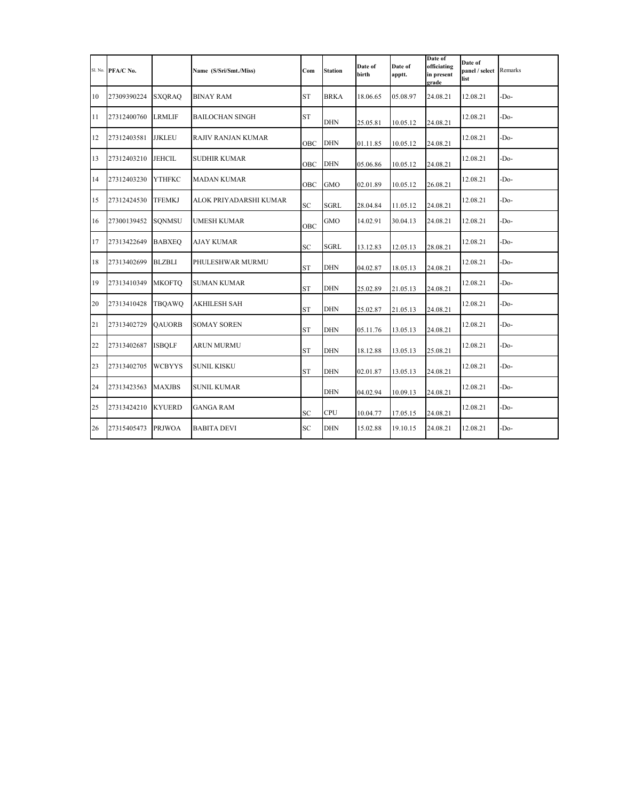|    | Sl. No. PFA/C No. |               | Name (S/Sri/Smt./Miss) | Com       | <b>Station</b> | Date of<br>birth | Date of<br>apptt. | Date of<br>officiating<br>in present<br>grade | Date of<br>panel / select<br>list | Remarks |
|----|-------------------|---------------|------------------------|-----------|----------------|------------------|-------------------|-----------------------------------------------|-----------------------------------|---------|
| 10 | 27309390224       | <b>SXORAO</b> | <b>BINAY RAM</b>       | <b>ST</b> | <b>BRKA</b>    | 18.06.65         | 05.08.97          | 24.08.21                                      | 12.08.21                          | -Do-    |
| 11 | 27312400760       | LRMLIF        | <b>BAILOCHAN SINGH</b> | <b>ST</b> | <b>DHN</b>     | 25.05.81         | 10.05.12          | 24.08.21                                      | 12.08.21                          | -Do-    |
| 12 | 27312403581       | <b>JJKLEU</b> | RAJIV RANJAN KUMAR     | OBC       | <b>DHN</b>     | 01.11.85         | 10.05.12          | 24.08.21                                      | 12.08.21                          | -Do-    |
| 13 | 27312403210       | <b>JEHCIL</b> | <b>SUDHIR KUMAR</b>    | OBC       | <b>DHN</b>     | 05.06.86         | 10.05.12          | 24.08.21                                      | 12.08.21                          | -Do-    |
| 14 | 27312403230       | YTHFKC        | <b>MADAN KUMAR</b>     | OBC       | <b>GMO</b>     | 02.01.89         | 10.05.12          | 26.08.21                                      | 12.08.21                          | -Do-    |
| 15 | 27312424530       | <b>TFEMKJ</b> | ALOK PRIYADARSHI KUMAR | SC        | <b>SGRL</b>    | 28.04.84         | 11.05.12          | 24.08.21                                      | 12.08.21                          | -Do-    |
| 16 | 27300139452       | SQNMSU        | <b>UMESH KUMAR</b>     | OBC       | GMO            | 14.02.91         | 30.04.13          | 24.08.21                                      | 12.08.21                          | -Do-    |
| 17 | 27313422649       | <b>BABXEQ</b> | <b>AJAY KUMAR</b>      | <b>SC</b> | <b>SGRL</b>    | 13.12.83         | 12.05.13          | 28.08.21                                      | 12.08.21                          | -Do-    |
| 18 | 27313402699       | <b>BLZBLI</b> | PHULESHWAR MURMU       | <b>ST</b> | <b>DHN</b>     | 04.02.87         | 18.05.13          | 24.08.21                                      | 12.08.21                          | -Do-    |
| 19 | 27313410349       | <b>MKOFTO</b> | <b>SUMAN KUMAR</b>     | <b>ST</b> | <b>DHN</b>     | 25.02.89         | 21.05.13          | 24.08.21                                      | 12.08.21                          | -Do-    |
| 20 | 27313410428       | TBQAWQ        | <b>AKHILESH SAH</b>    | <b>ST</b> | <b>DHN</b>     | 25.02.87         | 21.05.13          | 24.08.21                                      | 12.08.21                          | -Do-    |
| 21 | 27313402729       | <b>OAUORB</b> | <b>SOMAY SOREN</b>     | <b>ST</b> | <b>DHN</b>     | 05.11.76         | 13.05.13          | 24.08.21                                      | 12.08.21                          | -Do-    |
| 22 | 27313402687       | <b>ISBOLF</b> | ARUN MURMU             | <b>ST</b> | <b>DHN</b>     | 18.12.88         | 13.05.13          | 25.08.21                                      | 12.08.21                          | -Do-    |
| 23 | 27313402705       | <b>WCBYYS</b> | <b>SUNIL KISKU</b>     | <b>ST</b> | <b>DHN</b>     | 02.01.87         | 13.05.13          | 24.08.21                                      | 12.08.21                          | -Do-    |
| 24 | 27313423563       | <b>MAXJBS</b> | <b>SUNIL KUMAR</b>     |           | <b>DHN</b>     | 04.02.94         | 10.09.13          | 24.08.21                                      | 12.08.21                          | -Do-    |
| 25 | 27313424210       | <b>KYUERD</b> | GANGA RAM              | <b>SC</b> | <b>CPU</b>     | 10.04.77         | 17.05.15          | 24.08.21                                      | 12.08.21                          | -Do-    |
| 26 | 27315405473       | <b>PRJWOA</b> | <b>BABITA DEVI</b>     | <b>SC</b> | <b>DHN</b>     | 15.02.88         | 19.10.15          | 24.08.21                                      | 12.08.21                          | -Do-    |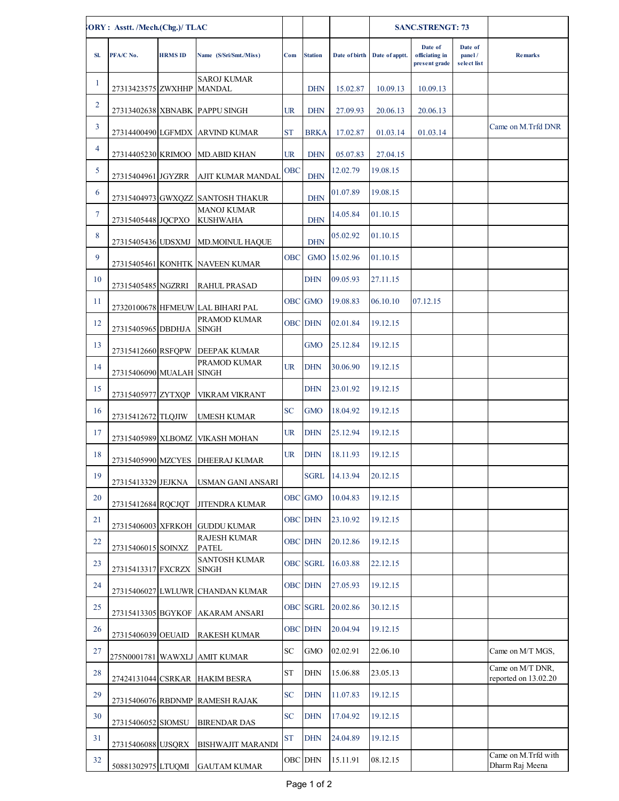| ORY: Asstt. /Mech.(Chg.)/ TLAC |                                          |                |                                                  |            |                 |               | <b>SANC.STRENGT: 73</b>      |                                            |                                  |                      |
|--------------------------------|------------------------------------------|----------------|--------------------------------------------------|------------|-----------------|---------------|------------------------------|--------------------------------------------|----------------------------------|----------------------|
| SI.                            | PFA/C No.                                | <b>HRMS ID</b> | Name (S/Sri/Smt./Miss)                           | Com        | <b>Station</b>  |               | Date of birth Date of apptt. | Date of<br>officiating in<br>present grade | Date of<br>panel/<br>select list | <b>Remarks</b>       |
| $\mathbf{1}$                   | 27313423575 ZWXHHP MANDAL                |                | <b>SAROJ KUMAR</b>                               |            | <b>DHN</b>      | 15.02.87      | 10.09.13                     | 10.09.13                                   |                                  |                      |
| $\overline{2}$                 |                                          |                | 27313402638 XBNABK PAPPU SINGH                   | UR         | <b>DHN</b>      | 27.09.93      | 20.06.13                     | 20.06.13                                   |                                  |                      |
| 3                              |                                          |                | 27314400490 LGFMDX ARVIND KUMAR                  | <b>ST</b>  | <b>BRKA</b>     | 17.02.87      | 01.03.14                     | 01.03.14                                   |                                  | Came on M.Trfd DNR   |
| 4                              |                                          |                | 27314405230 KRIMOO MD.ABID KHAN                  | UR         | <b>DHN</b>      | 05.07.83      | 27.04.15                     |                                            |                                  |                      |
| 5                              | 27315404961 JGYZRR                       |                | AJIT KUMAR MANDAL                                | <b>OBC</b> | <b>DHN</b>      | 12.02.79      | 19.08.15                     |                                            |                                  |                      |
| 6                              |                                          |                | 27315404973 GWXQZZ SANTOSH THAKUR                |            | <b>DHN</b>      | 01.07.89      | 19.08.15                     |                                            |                                  |                      |
| $\tau$                         | 27315405448 JQCPXO                       |                | <b>MANOJ KUMAR</b><br><b>KUSHWAHA</b>            |            | <b>DHN</b>      | 14.05.84      | 01.10.15                     |                                            |                                  |                      |
| 8                              | 27315405436 UDSXMJ                       |                | <b>MD.MOINUL HAQUE</b>                           |            | <b>DHN</b>      | 05.02.92      | 01.10.15                     |                                            |                                  |                      |
| 9                              |                                          |                | 27315405461 KONHTK NAVEEN KUMAR                  | <b>OBC</b> | <b>GMO</b>      | 15.02.96      | 01.10.15                     |                                            |                                  |                      |
| 10                             | 27315405485 NGZRRI                       |                | <b>RAHUL PRASAD</b>                              |            | DHN             | 09.05.93      | 27.11.15                     |                                            |                                  |                      |
| 11                             |                                          |                | 27320100678 HFMEUW LAL BIHARI PAL                |            | OBC GMO         | 19.08.83      | 06.10.10                     | 07.12.15                                   |                                  |                      |
| 12                             | 27315405965 DBDHJA                       |                | PRAMOD KUMAR<br><b>SINGH</b>                     |            | <b>OBC DHN</b>  | 02.01.84      | 19.12.15                     |                                            |                                  |                      |
| 13                             | 27315412660 RSFQPW                       |                | <b>DEEPAK KUMAR</b>                              |            | <b>GMO</b>      | 25.12.84      | 19.12.15                     |                                            |                                  |                      |
| 14                             | 27315406090 MUALAH SINGH                 |                | PRAMOD KUMAR                                     | UR         | <b>DHN</b>      | 30.06.90      | 19.12.15                     |                                            |                                  |                      |
| 15                             |                                          |                |                                                  |            | DHN             | 23.01.92      | 19.12.15                     |                                            |                                  |                      |
| 16                             | 27315405977 ZYTXQP<br>27315412672 TLQJIW |                | <b>VIKRAM VIKRANT</b><br><b>UMESH KUMAR</b>      | SC         | <b>GMO</b>      | 18.04.92      | 19.12.15                     |                                            |                                  |                      |
| 17                             |                                          |                | 27315405989 XLBOMZ VIKASH MOHAN                  | UR         | <b>DHN</b>      | 25.12.94      | 19.12.15                     |                                            |                                  |                      |
| 18                             |                                          |                | 27315405990 MZCYES DHEERAJ KUMAR                 | UR         | <b>DHN</b>      | 18.11.93      | 19.12.15                     |                                            |                                  |                      |
| 19                             | 27315413329 JEJKNA                       |                | <b>USMAN GANI ANSARI</b>                         |            |                 | SGRL 14.13.94 | 20.12.15                     |                                            |                                  |                      |
| 20                             | 27315412684 RQCJQT                       |                |                                                  |            | <b>OBC</b> GMO  | 10.04.83      | 19.12.15                     |                                            |                                  |                      |
| 21                             |                                          |                | JITENDRA KUMAR<br>27315406003 XFRKOH GUDDU KUMAR |            | <b>OBC</b> DHN  | 23.10.92      | 19.12.15                     |                                            |                                  |                      |
| 22                             |                                          |                | <b>RAJESH KUMAR</b>                              |            | <b>OBC DHN</b>  | 20.12.86      | 19.12.15                     |                                            |                                  |                      |
| 23                             | 27315406015 SOINXZ                       |                | <b>PATEL</b><br><b>SANTOSH KUMAR</b>             |            | <b>OBC</b> SGRL | 16.03.88      | 22.12.15                     |                                            |                                  |                      |
| 24                             | 27315413317 FXCRZX                       |                | <b>SINGH</b>                                     |            | <b>OBC DHN</b>  | 27.05.93      | 19.12.15                     |                                            |                                  |                      |
| 25                             |                                          |                | 27315406027 LWLUWR CHANDAN KUMAR                 |            | <b>OBC</b> SGRL | 20.02.86      | 30.12.15                     |                                            |                                  |                      |
| 26                             | 27315413305 BGYKOF                       |                | <b>AKARAM ANSARI</b>                             |            | <b>OBC</b> DHN  | 20.04.94      | 19.12.15                     |                                            |                                  |                      |
| 27                             | 27315406039 OEUAID                       |                | <b>RAKESH KUMAR</b>                              | SС         | <b>GMO</b>      | 02.02.91      | 22.06.10                     |                                            |                                  | Came on M/T MGS,     |
| 28                             | 275N0001781 WAWXLJ                       |                | AMIT KUMAR                                       | ST         | DHN             | 15.06.88      | 23.05.13                     |                                            |                                  | Came on M/T DNR,     |
| 29                             |                                          |                | 27424131044 CSRKAR HAKIM BESRA                   | SC         | <b>DHN</b>      | 11.07.83      | 19.12.15                     |                                            |                                  | reported on 13.02.20 |
| 30                             |                                          |                | 27315406076 RBDNMP RAMESH RAJAK                  | SC         | <b>DHN</b>      | 17.04.92      | 19.12.15                     |                                            |                                  |                      |
| 31                             | 27315406052 SIOMSU                       |                | <b>BIRENDAR DAS</b>                              | <b>ST</b>  | <b>DHN</b>      | 24.04.89      | 19.12.15                     |                                            |                                  |                      |
| 32                             | 27315406088 UJSQRX                       |                | <b>BISHWAJIT MARANDI</b>                         |            | OBC DHN         | 15.11.91      | 08.12.15                     |                                            |                                  | Came on M.Trfd with  |
|                                | 50881302975 LTUQMI                       |                | <b>GAUTAM KUMAR</b>                              |            |                 |               |                              |                                            |                                  | Dharm Raj Meena      |